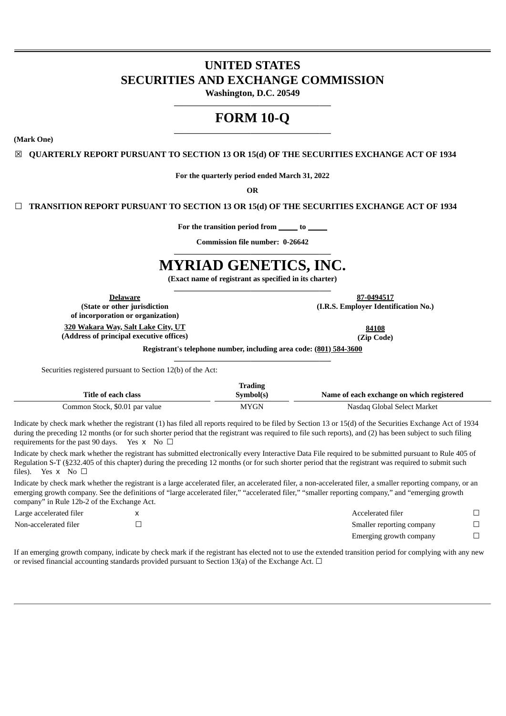# **UNITED STATES SECURITIES AND EXCHANGE COMMISSION**

**Washington, D.C. 20549 \_\_\_\_\_\_\_\_\_\_\_\_\_\_\_\_\_\_\_\_\_\_\_\_\_\_\_\_\_\_\_\_\_\_\_\_\_\_\_\_\_**

# **FORM 10-Q \_\_\_\_\_\_\_\_\_\_\_\_\_\_\_\_\_\_\_\_\_\_\_\_\_\_\_\_\_\_\_\_\_\_\_\_\_\_\_\_\_**

**(Mark One)**

☒ **QUARTERLY REPORT PURSUANT TO SECTION 13 OR 15(d) OF THE SECURITIES EXCHANGE ACT OF 1934**

**For the quarterly period ended March 31, 2022**

**OR**

☐ **TRANSITION REPORT PURSUANT TO SECTION 13 OR 15(d) OF THE SECURITIES EXCHANGE ACT OF 1934**

**For the transition period from to**

**Commission file number: 0-26642 \_\_\_\_\_\_\_\_\_\_\_\_\_\_\_\_\_\_\_\_\_\_\_\_\_\_\_\_\_\_\_\_\_\_\_\_\_\_\_\_\_**

# **MYRIAD GENETICS, INC.**

**(Exact name of registrant as specified in its charter) \_\_\_\_\_\_\_\_\_\_\_\_\_\_\_\_\_\_\_\_\_\_\_\_\_\_\_\_\_\_\_\_\_\_\_\_\_\_\_\_\_**

**Delaware (State or other jurisdiction of incorporation or organization) 320 Wakara Way, Salt Lake City, UT (Address of principal executive offices)**

**87-0494517 (I.R.S. Employer Identification No.)**

> **84108 (Zip Code)**

**Registrant's telephone number, including area code: (801) 584-3600 \_\_\_\_\_\_\_\_\_\_\_\_\_\_\_\_\_\_\_\_\_\_\_\_\_\_\_\_\_\_\_\_\_\_\_\_\_\_\_\_\_**

Securities registered pursuant to Section 12(b) of the Act:

|                                | <b>Trading</b> |                                           |
|--------------------------------|----------------|-------------------------------------------|
| Title of each class            | Symbol(s)      | Name of each exchange on which registered |
| Common Stock, \$0.01 par value | <b>MYGN</b>    | Nasdag Global Select Market               |

Indicate by check mark whether the registrant (1) has filed all reports required to be filed by Section 13 or 15(d) of the Securities Exchange Act of 1934 during the preceding 12 months (or for such shorter period that the registrant was required to file such reports), and (2) has been subject to such filing requirements for the past 90 days. Yes  $x \to 0$ 

Indicate by check mark whether the registrant has submitted electronically every Interactive Data File required to be submitted pursuant to Rule 405 of Regulation S-T (§232.405 of this chapter) during the preceding 12 months (or for such shorter period that the registrant was required to submit such files). Yes  $x \in N_0$   $\square$ 

Indicate by check mark whether the registrant is a large accelerated filer, an accelerated filer, a non-accelerated filer, a smaller reporting company, or an emerging growth company. See the definitions of "large accelerated filer," "accelerated filer," "smaller reporting company," and "emerging growth company" in Rule 12b-2 of the Exchange Act.

| Large accelerated filer | Accelerated filer         |  |
|-------------------------|---------------------------|--|
| Non-accelerated filer   | Smaller reporting company |  |
|                         | Emerging growth company   |  |

If an emerging growth company, indicate by check mark if the registrant has elected not to use the extended transition period for complying with any new or revised financial accounting standards provided pursuant to Section 13(a) of the Exchange Act.  $\Box$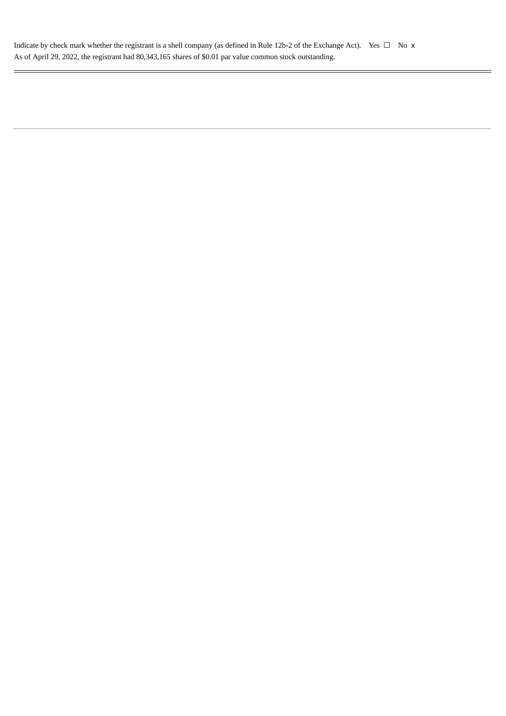<span id="page-1-0"></span>Indicate by check mark whether the registrant is a shell company (as defined in Rule 12b-2 of the Exchange Act). Yes  $\Box$  No x As of April 29, 2022, the registrant had 80,343,165 shares of \$0.01 par value common stock outstanding.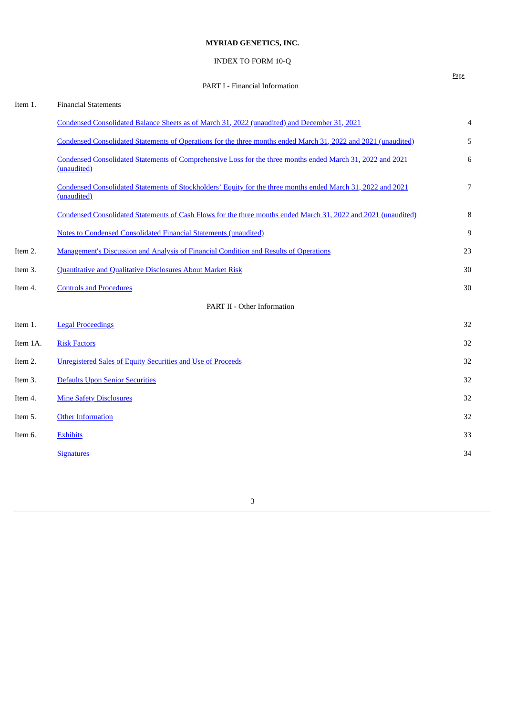# **MYRIAD GENETICS, INC.**

# INDEX TO FORM 10-Q

Page

# PART I - Financial [Information](#page-2-0)

<span id="page-2-0"></span>

| Item 1.  | <b>Financial Statements</b>                                                                                                 |    |
|----------|-----------------------------------------------------------------------------------------------------------------------------|----|
|          | Condensed Consolidated Balance Sheets as of March 31, 2022 (unaudited) and December 31, 2021                                | 4  |
|          | Condensed Consolidated Statements of Operations for the three months ended March 31, 2022 and 2021 (unaudited)              | 5  |
|          | Condensed Consolidated Statements of Comprehensive Loss for the three months ended March 31, 2022 and 2021<br>(unaudited)   | 6  |
|          | Condensed Consolidated Statements of Stockholders' Equity for the three months ended March 31, 2022 and 2021<br>(unaudited) | 7  |
|          | Condensed Consolidated Statements of Cash Flows for the three months ended March 31, 2022 and 2021 (unaudited)              | 8  |
|          | <b>Notes to Condensed Consolidated Financial Statements (unaudited)</b>                                                     | 9  |
| Item 2.  | <b>Management's Discussion and Analysis of Financial Condition and Results of Operations</b>                                | 23 |
| Item 3.  | <b>Quantitative and Qualitative Disclosures About Market Risk</b>                                                           | 30 |
| Item 4.  | <b>Controls and Procedures</b>                                                                                              | 30 |
|          | PART II - Other Information                                                                                                 |    |
| Item 1.  | <b>Legal Proceedings</b>                                                                                                    | 32 |
| Item 1A. | <b>Risk Factors</b>                                                                                                         | 32 |
| Item 2.  | <b>Unregistered Sales of Equity Securities and Use of Proceeds</b>                                                          | 32 |
| Item 3.  | <b>Defaults Upon Senior Securities</b>                                                                                      | 32 |
| Item 4.  | <b>Mine Safety Disclosures</b>                                                                                              | 32 |
| Item 5.  | <b>Other Information</b>                                                                                                    | 32 |
| Item 6.  | <b>Exhibits</b>                                                                                                             | 33 |
|          | <b>Signatures</b>                                                                                                           | 34 |
|          |                                                                                                                             |    |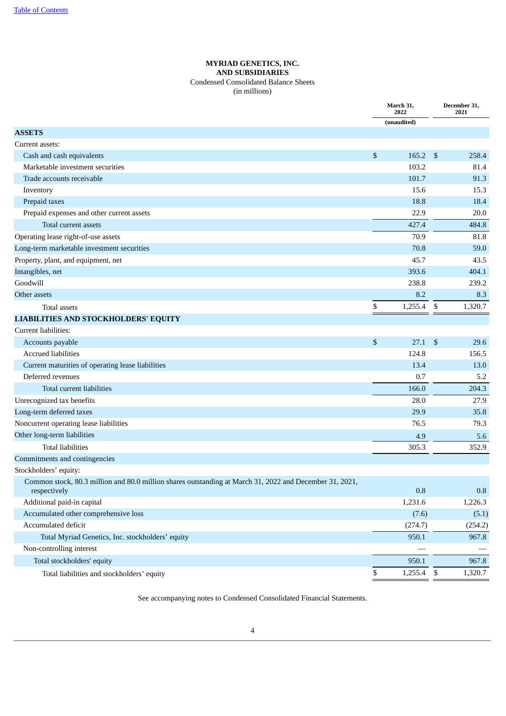# **MYRIAD GENETICS, INC. AND SUBSIDIARIES** Condensed Consolidated Balance Sheets

(in millions)

<span id="page-3-1"></span><span id="page-3-0"></span>

|                                                                                                                         |                           | March 31,<br>2022 |                | December 31,<br>2021 |
|-------------------------------------------------------------------------------------------------------------------------|---------------------------|-------------------|----------------|----------------------|
|                                                                                                                         |                           | (unaudited)       |                |                      |
| <b>ASSETS</b>                                                                                                           |                           |                   |                |                      |
| Current assets:                                                                                                         |                           |                   |                |                      |
| Cash and cash equivalents                                                                                               | \$                        | 165.2             | $\sqrt[6]{3}$  | 258.4                |
| Marketable investment securities                                                                                        |                           | 103.2             |                | 81.4                 |
| Trade accounts receivable                                                                                               |                           | 101.7             |                | 91.3                 |
| Inventory                                                                                                               |                           | 15.6              |                | 15.3                 |
| Prepaid taxes                                                                                                           |                           | 18.8              |                | 18.4                 |
| Prepaid expenses and other current assets                                                                               |                           | 22.9              |                | 20.0                 |
| Total current assets                                                                                                    |                           | 427.4             |                | 484.8                |
| Operating lease right-of-use assets                                                                                     |                           | 70.9              |                | 81.8                 |
| Long-term marketable investment securities                                                                              |                           | 70.8              |                | 59.0                 |
| Property, plant, and equipment, net                                                                                     |                           | 45.7              |                | 43.5                 |
| Intangibles, net                                                                                                        |                           | 393.6             |                | 404.1                |
| Goodwill                                                                                                                |                           | 238.8             |                | 239.2                |
| Other assets                                                                                                            |                           | 8.2               |                | 8.3                  |
| Total assets                                                                                                            | \$                        | 1,255.4           | \$             | 1,320.7              |
| <b>LIABILITIES AND STOCKHOLDERS' EQUITY</b>                                                                             |                           |                   |                |                      |
| Current liabilities:                                                                                                    |                           |                   |                |                      |
| Accounts payable                                                                                                        | $\boldsymbol{\mathsf{S}}$ | 27.1              | $\mathfrak{F}$ | 29.6                 |
| Accrued liabilities                                                                                                     |                           | 124.8             |                | 156.5                |
| Current maturities of operating lease liabilities                                                                       |                           | 13.4              |                | 13.0                 |
| Deferred revenues                                                                                                       |                           | 0.7               |                | 5.2                  |
| Total current liabilities                                                                                               |                           | 166.0             |                | 204.3                |
| Unrecognized tax benefits                                                                                               |                           | 28.0              |                | 27.9                 |
| Long-term deferred taxes                                                                                                |                           | 29.9              |                | 35.8                 |
| Noncurrent operating lease liabilities                                                                                  |                           | 76.5              |                | 79.3                 |
| Other long-term liabilities                                                                                             |                           | 4.9               |                | 5.6                  |
| <b>Total liabilities</b>                                                                                                |                           | 305.3             |                | 352.9                |
| Commitments and contingencies                                                                                           |                           |                   |                |                      |
| Stockholders' equity:                                                                                                   |                           |                   |                |                      |
| Common stock, 80.3 million and 80.0 million shares outstanding at March 31, 2022 and December 31, 2021,<br>respectively |                           | 0.8               |                | $0.8\,$              |
| Additional paid-in capital                                                                                              |                           | 1,231.6           |                | 1,226.3              |
| Accumulated other comprehensive loss                                                                                    |                           | (7.6)             |                | (5.1)                |
| Accumulated deficit                                                                                                     |                           | (274.7)           |                | (254.2)              |
| Total Myriad Genetics, Inc. stockholders' equity                                                                        |                           | 950.1             |                | 967.8                |
| Non-controlling interest                                                                                                |                           |                   |                |                      |
| Total stockholders' equity                                                                                              |                           | 950.1             |                | 967.8                |
| Total liabilities and stockholders' equity                                                                              | \$                        | 1,255.4           | \$             | 1,320.7              |
|                                                                                                                         |                           |                   |                |                      |

<span id="page-3-2"></span>See accompanying notes to Condensed Consolidated Financial Statements.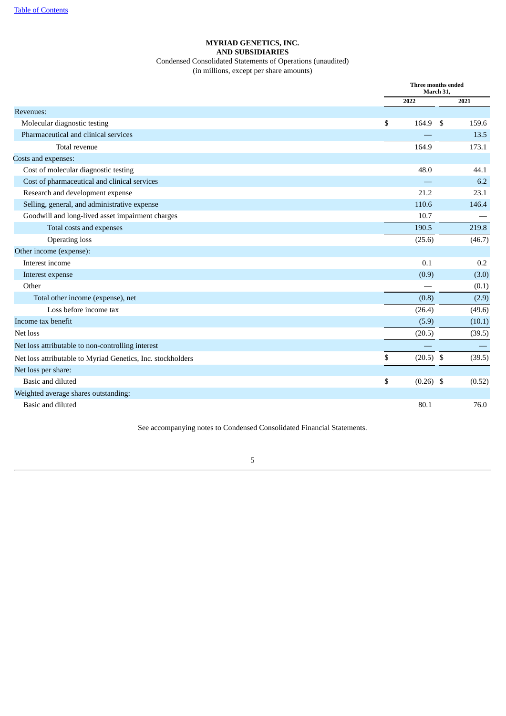# **MYRIAD GENETICS, INC. AND SUBSIDIARIES** Condensed Consolidated Statements of Operations (unaudited) (in millions, except per share amounts)

|                                                             |                   | Three months ended<br>March 31. |
|-------------------------------------------------------------|-------------------|---------------------------------|
|                                                             | 2022              | 2021                            |
| Revenues:                                                   |                   |                                 |
| Molecular diagnostic testing                                | 164.9<br>\$       | \$.<br>159.6                    |
| Pharmaceutical and clinical services                        |                   | 13.5                            |
| Total revenue                                               | 164.9             | 173.1                           |
| Costs and expenses:                                         |                   |                                 |
| Cost of molecular diagnostic testing                        | 48.0              | 44.1                            |
| Cost of pharmaceutical and clinical services                |                   | 6.2                             |
| Research and development expense                            | 21.2              | 23.1                            |
| Selling, general, and administrative expense                | 110.6             | 146.4                           |
| Goodwill and long-lived asset impairment charges            | 10.7              |                                 |
| Total costs and expenses                                    | 190.5             | 219.8                           |
| <b>Operating loss</b>                                       | (25.6)            | (46.7)                          |
| Other income (expense):                                     |                   |                                 |
| Interest income                                             | 0.1               | 0.2                             |
| Interest expense                                            | (0.9)             | (3.0)                           |
| Other                                                       |                   | (0.1)                           |
| Total other income (expense), net                           | (0.8)             | (2.9)                           |
| Loss before income tax                                      | (26.4)            | (49.6)                          |
| Income tax benefit                                          | (5.9)             | (10.1)                          |
| Net loss                                                    | (20.5)            | (39.5)                          |
| Net loss attributable to non-controlling interest           |                   |                                 |
| Net loss attributable to Myriad Genetics, Inc. stockholders | \$<br>$(20.5)$ \$ | (39.5)                          |
| Net loss per share:                                         |                   |                                 |
| Basic and diluted                                           | \$<br>$(0.26)$ \$ | (0.52)                          |
| Weighted average shares outstanding:                        |                   |                                 |
| Basic and diluted                                           | 80.1              | 76.0                            |

<span id="page-4-0"></span>See accompanying notes to Condensed Consolidated Financial Statements.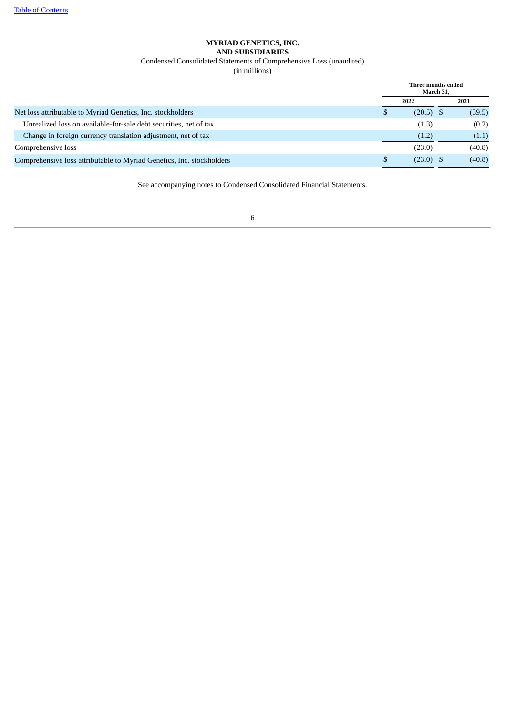# **MYRIAD GENETICS, INC. AND SUBSIDIARIES** Condensed Consolidated Statements of Comprehensive Loss (unaudited)

(in millions)

|                                                                       |   | Three months ended | March 31, |        |
|-----------------------------------------------------------------------|---|--------------------|-----------|--------|
|                                                                       |   | 2022               |           | 2021   |
| Net loss attributable to Myriad Genetics, Inc. stockholders           | P | $(20.5)$ \$        |           | (39.5) |
| Unrealized loss on available-for-sale debt securities, net of tax     |   | (1.3)              |           | (0.2)  |
| Change in foreign currency translation adjustment, net of tax         |   | (1.2)              |           | (1.1)  |
| Comprehensive loss                                                    |   | (23.0)             |           | (40.8) |
| Comprehensive loss attributable to Myriad Genetics, Inc. stockholders |   | (23.0)             |           | (40.8) |

<span id="page-5-0"></span>See accompanying notes to Condensed Consolidated Financial Statements.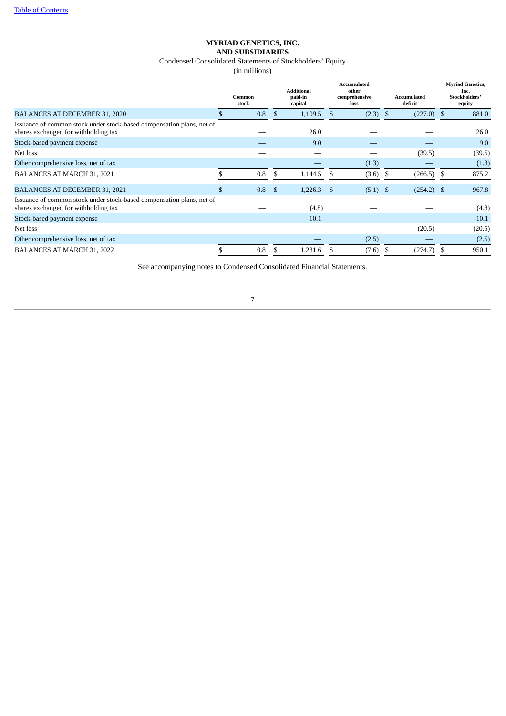# **MYRIAD GENETICS, INC. AND SUBSIDIARIES** Condensed Consolidated Statements of Stockholders' Equity

(in millions)

|                                                                                                               | Common<br>stock | <b>Additional</b><br>paid-in<br>capital | <b>Accumulated</b><br>other<br>comprehensive<br>loss | Accumulated<br>deficit | <b>Myriad Genetics,</b><br>Inc.<br>Stockholders'<br>equity |  |
|---------------------------------------------------------------------------------------------------------------|-----------------|-----------------------------------------|------------------------------------------------------|------------------------|------------------------------------------------------------|--|
| <b>BALANCES AT DECEMBER 31, 2020</b>                                                                          | 0.8             | 1,109.5<br>\$                           | (2.3)<br>-S                                          | $(227.0)$ \$<br>S.     | 881.0                                                      |  |
| Issuance of common stock under stock-based compensation plans, net of<br>shares exchanged for withholding tax |                 | 26.0                                    |                                                      |                        | 26.0                                                       |  |
| Stock-based payment expense                                                                                   |                 | 9.0                                     |                                                      |                        | 9.0                                                        |  |
| Net loss                                                                                                      |                 |                                         |                                                      | (39.5)                 | (39.5)                                                     |  |
| Other comprehensive loss, net of tax                                                                          |                 |                                         | (1.3)                                                |                        | (1.3)                                                      |  |
| <b>BALANCES AT MARCH 31, 2021</b>                                                                             | 0.8             | 1,144.5<br>\$                           | (3.6)<br>\$                                          | (266.5)<br>-S          | 875.2<br>S                                                 |  |
| <b>BALANCES AT DECEMBER 31, 2021</b>                                                                          | 0.8<br>D        | 1,226.3<br>-S                           | (5.1)<br>- \$                                        | $(254.2)$ \$<br>- \$   | 967.8                                                      |  |
| Issuance of common stock under stock-based compensation plans, net of<br>shares exchanged for withholding tax |                 | (4.8)                                   |                                                      |                        | (4.8)                                                      |  |
| Stock-based payment expense                                                                                   |                 | 10.1                                    |                                                      |                        | 10.1                                                       |  |
| Net loss                                                                                                      |                 |                                         |                                                      | (20.5)                 | (20.5)                                                     |  |
| Other comprehensive loss, net of tax                                                                          |                 |                                         | (2.5)                                                |                        | (2.5)                                                      |  |
| <b>BALANCES AT MARCH 31, 2022</b>                                                                             | 0.8             | 1,231.6                                 | (7.6)                                                | (274.7)                | 950.1<br>S                                                 |  |
|                                                                                                               |                 |                                         |                                                      |                        |                                                            |  |

<span id="page-6-0"></span>See accompanying notes to Condensed Consolidated Financial Statements.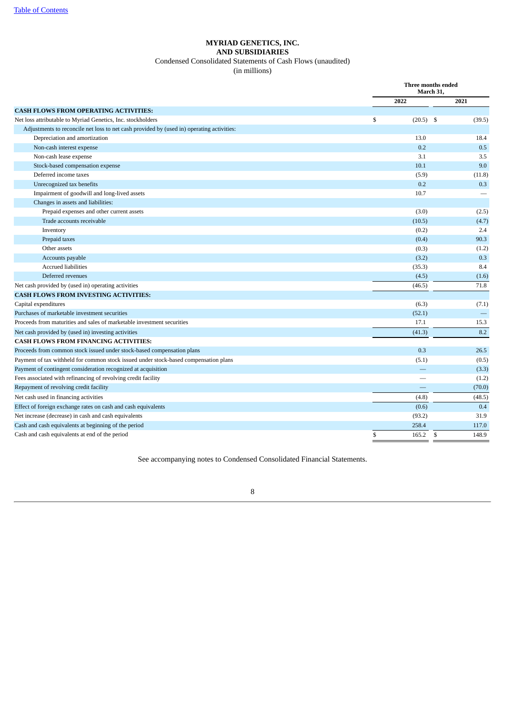# **MYRIAD GENETICS, INC. AND SUBSIDIARIES** Condensed Consolidated Statements of Cash Flows (unaudited) (in millions)

|                                                                                           | <b>Three months ended</b><br>March 31, |     |                          |
|-------------------------------------------------------------------------------------------|----------------------------------------|-----|--------------------------|
|                                                                                           | 2022                                   |     | 2021                     |
| <b>CASH FLOWS FROM OPERATING ACTIVITIES:</b>                                              |                                        |     |                          |
| Net loss attributable to Myriad Genetics, Inc. stockholders                               | \$<br>(20.5)                           | -\$ | (39.5)                   |
| Adjustments to reconcile net loss to net cash provided by (used in) operating activities: |                                        |     |                          |
| Depreciation and amortization                                                             | 13.0                                   |     | 18.4                     |
| Non-cash interest expense                                                                 | 0.2                                    |     | 0.5                      |
| Non-cash lease expense                                                                    | 3.1                                    |     | 3.5                      |
| Stock-based compensation expense                                                          | 10.1                                   |     | 9.0                      |
| Deferred income taxes                                                                     | (5.9)                                  |     | (11.8)                   |
| Unrecognized tax benefits                                                                 | 0.2                                    |     | 0.3                      |
| Impairment of goodwill and long-lived assets                                              | 10.7                                   |     |                          |
| Changes in assets and liabilities:                                                        |                                        |     |                          |
| Prepaid expenses and other current assets                                                 | (3.0)                                  |     | (2.5)                    |
| Trade accounts receivable                                                                 | (10.5)                                 |     | (4.7)                    |
| Inventory                                                                                 | (0.2)                                  |     | 2.4                      |
| Prepaid taxes                                                                             | (0.4)                                  |     | 90.3                     |
| Other assets                                                                              | (0.3)                                  |     | (1.2)                    |
| Accounts payable                                                                          | (3.2)                                  |     | 0.3                      |
| <b>Accrued liabilities</b>                                                                | (35.3)                                 |     | 8.4                      |
| Deferred revenues                                                                         | (4.5)                                  |     | (1.6)                    |
| Net cash provided by (used in) operating activities                                       | (46.5)                                 |     | 71.8                     |
| <b>CASH FLOWS FROM INVESTING ACTIVITIES:</b>                                              |                                        |     |                          |
| Capital expenditures                                                                      | (6.3)                                  |     | (7.1)                    |
| Purchases of marketable investment securities                                             | (52.1)                                 |     | $\overline{\phantom{m}}$ |
| Proceeds from maturities and sales of marketable investment securities                    | 17.1                                   |     | 15.3                     |
| Net cash provided by (used in) investing activities                                       | (41.3)                                 |     | 8.2                      |
| <b>CASH FLOWS FROM FINANCING ACTIVITIES:</b>                                              |                                        |     |                          |
| Proceeds from common stock issued under stock-based compensation plans                    | 0.3                                    |     | 26.5                     |
| Payment of tax withheld for common stock issued under stock-based compensation plans      | (5.1)                                  |     | (0.5)                    |
| Payment of contingent consideration recognized at acquisition                             | -                                      |     | (3.3)                    |
| Fees associated with refinancing of revolving credit facility                             |                                        |     | (1.2)                    |
| Repayment of revolving credit facility                                                    |                                        |     | (70.0)                   |
| Net cash used in financing activities                                                     | (4.8)                                  |     | (48.5)                   |
| Effect of foreign exchange rates on cash and cash equivalents                             | (0.6)                                  |     | 0.4                      |
| Net increase (decrease) in cash and cash equivalents                                      | (93.2)                                 |     | 31.9                     |
| Cash and cash equivalents at beginning of the period                                      | 258.4                                  |     | 117.0                    |
| Cash and cash equivalents at end of the period                                            | \$<br>165.2                            | \$  | 148.9                    |

<span id="page-7-0"></span>See accompanying notes to Condensed Consolidated Financial Statements.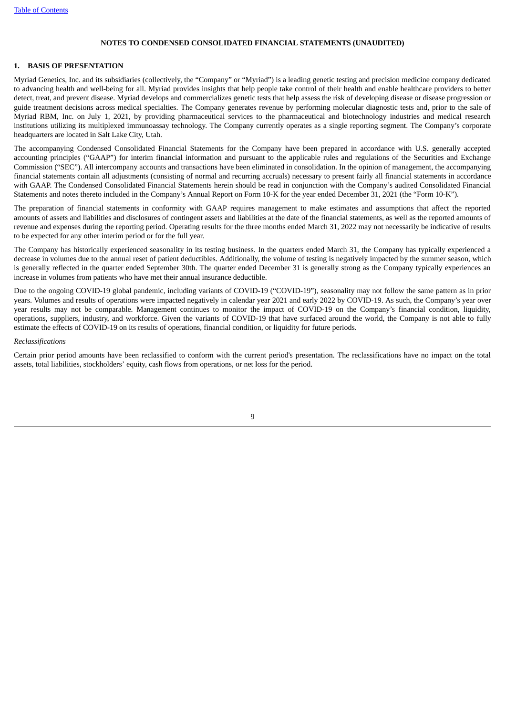# **NOTES TO CONDENSED CONSOLIDATED FINANCIAL STATEMENTS (UNAUDITED)**

### **1. BASIS OF PRESENTATION**

Myriad Genetics, Inc. and its subsidiaries (collectively, the "Company" or "Myriad") is a leading genetic testing and precision medicine company dedicated to advancing health and well-being for all. Myriad provides insights that help people take control of their health and enable healthcare providers to better detect, treat, and prevent disease. Myriad develops and commercializes genetic tests that help assess the risk of developing disease or disease progression or guide treatment decisions across medical specialties. The Company generates revenue by performing molecular diagnostic tests and, prior to the sale of Myriad RBM, Inc. on July 1, 2021, by providing pharmaceutical services to the pharmaceutical and biotechnology industries and medical research institutions utilizing its multiplexed immunoassay technology. The Company currently operates as a single reporting segment. The Company's corporate headquarters are located in Salt Lake City, Utah.

The accompanying Condensed Consolidated Financial Statements for the Company have been prepared in accordance with U.S. generally accepted accounting principles ("GAAP") for interim financial information and pursuant to the applicable rules and regulations of the Securities and Exchange Commission ("SEC"). All intercompany accounts and transactions have been eliminated in consolidation. In the opinion of management, the accompanying financial statements contain all adjustments (consisting of normal and recurring accruals) necessary to present fairly all financial statements in accordance with GAAP. The Condensed Consolidated Financial Statements herein should be read in conjunction with the Company's audited Consolidated Financial Statements and notes thereto included in the Company's Annual Report on Form 10-K for the year ended December 31, 2021 (the "Form 10-K").

The preparation of financial statements in conformity with GAAP requires management to make estimates and assumptions that affect the reported amounts of assets and liabilities and disclosures of contingent assets and liabilities at the date of the financial statements, as well as the reported amounts of revenue and expenses during the reporting period. Operating results for the three months ended March 31, 2022 may not necessarily be indicative of results to be expected for any other interim period or for the full year.

The Company has historically experienced seasonality in its testing business. In the quarters ended March 31, the Company has typically experienced a decrease in volumes due to the annual reset of patient deductibles. Additionally, the volume of testing is negatively impacted by the summer season, which is generally reflected in the quarter ended September 30th. The quarter ended December 31 is generally strong as the Company typically experiences an increase in volumes from patients who have met their annual insurance deductible.

Due to the ongoing COVID-19 global pandemic, including variants of COVID-19 ("COVID-19"), seasonality may not follow the same pattern as in prior years. Volumes and results of operations were impacted negatively in calendar year 2021 and early 2022 by COVID-19. As such, the Company's year over year results may not be comparable. Management continues to monitor the impact of COVID-19 on the Company's financial condition, liquidity, operations, suppliers, industry, and workforce. Given the variants of COVID-19 that have surfaced around the world, the Company is not able to fully estimate the effects of COVID-19 on its results of operations, financial condition, or liquidity for future periods.

#### *Reclassifications*

Certain prior period amounts have been reclassified to conform with the current period's presentation. The reclassifications have no impact on the total assets, total liabilities, stockholders' equity, cash flows from operations, or net loss for the period.

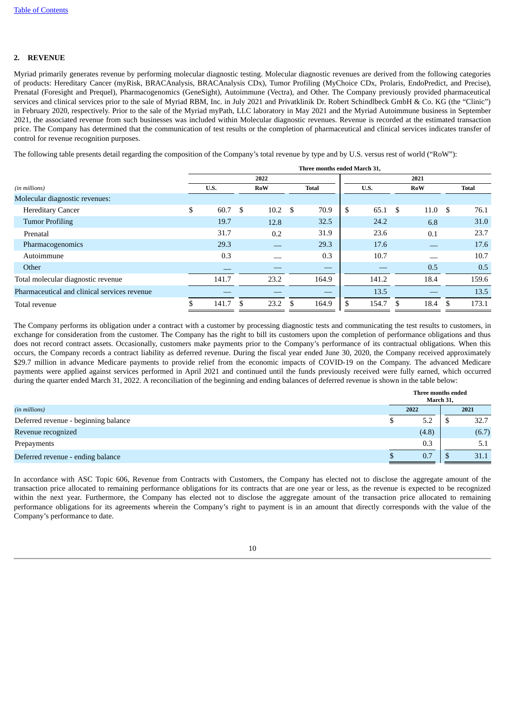### **2. REVENUE**

Myriad primarily generates revenue by performing molecular diagnostic testing. Molecular diagnostic revenues are derived from the following categories of products: Hereditary Cancer (myRisk, BRACAnalysis, BRACAnalysis CDx), Tumor Profiling (MyChoice CDx, Prolaris, EndoPredict, and Precise), Prenatal (Foresight and Prequel), Pharmacogenomics (GeneSight), Autoimmune (Vectra), and Other. The Company previously provided pharmaceutical services and clinical services prior to the sale of Myriad RBM, Inc. in July 2021 and Privatklinik Dr. Robert Schindlbeck GmbH & Co. KG (the "Clinic") in February 2020, respectively. Prior to the sale of the Myriad myPath, LLC laboratory in May 2021 and the Myriad Autoimmune business in September 2021, the associated revenue from such businesses was included within Molecular diagnostic revenues. Revenue is recorded at the estimated transaction price. The Company has determined that the communication of test results or the completion of pharmaceutical and clinical services indicates transfer of control for revenue recognition purposes.

The following table presents detail regarding the composition of the Company's total revenue by type and by U.S. versus rest of world ("RoW"):

|                                              | Three months ended March 31, |       |      |            |    |              |      |                 |            |                |  |              |
|----------------------------------------------|------------------------------|-------|------|------------|----|--------------|------|-----------------|------------|----------------|--|--------------|
|                                              |                              |       |      | 2022       |    |              | 2021 |                 |            |                |  |              |
| (in millions)                                |                              | U.S.  |      | <b>RoW</b> |    | <b>Total</b> | U.S. |                 | <b>RoW</b> |                |  | <b>Total</b> |
| Molecular diagnostic revenues:               |                              |       |      |            |    |              |      |                 |            |                |  |              |
| <b>Hereditary Cancer</b>                     | \$                           | 60.7  | - \$ | 10.2       | -S | 70.9         | \$   | $65.1 \quad$ \$ |            | $11.0 \quad $$ |  | 76.1         |
| <b>Tumor Profiling</b>                       |                              | 19.7  |      | 12.8       |    | 32.5         |      | 24.2            |            | 6.8            |  | 31.0         |
| Prenatal                                     |                              | 31.7  |      | 0.2        |    | 31.9         |      | 23.6            |            | 0.1            |  | 23.7         |
| Pharmacogenomics                             |                              | 29.3  |      |            |    | 29.3         |      | 17.6            |            |                |  | 17.6         |
| Autoimmune                                   |                              | 0.3   |      |            |    | 0.3          |      | 10.7            |            |                |  | 10.7         |
| Other                                        |                              |       |      |            |    |              |      |                 |            | 0.5            |  | 0.5          |
| Total molecular diagnostic revenue           |                              | 141.7 |      | 23.2       |    | 164.9        |      | 141.2           |            | 18.4           |  | 159.6        |
| Pharmaceutical and clinical services revenue |                              |       |      |            |    |              |      | 13.5            |            |                |  | 13.5         |
| Total revenue                                |                              | 141.7 | .S   | 23.2       |    | 164.9        | \$   | 154.7           |            | 18.4           |  | 173.1        |
|                                              |                              |       |      |            |    |              |      |                 |            |                |  |              |

The Company performs its obligation under a contract with a customer by processing diagnostic tests and communicating the test results to customers, in exchange for consideration from the customer. The Company has the right to bill its customers upon the completion of performance obligations and thus does not record contract assets. Occasionally, customers make payments prior to the Company's performance of its contractual obligations. When this occurs, the Company records a contract liability as deferred revenue. During the fiscal year ended June 30, 2020, the Company received approximately \$29.7 million in advance Medicare payments to provide relief from the economic impacts of COVID-19 on the Company. The advanced Medicare payments were applied against services performed in April 2021 and continued until the funds previously received were fully earned, which occurred during the quarter ended March 31, 2022. A reconciliation of the beginning and ending balances of deferred revenue is shown in the table below:

|                                      | Three months ended<br>March 31, |       |  |       |  |
|--------------------------------------|---------------------------------|-------|--|-------|--|
| (in millions)                        |                                 | 2022  |  | 2021  |  |
| Deferred revenue - beginning balance |                                 | ے . د |  | 32.7  |  |
| Revenue recognized                   |                                 | (4.8) |  | (6.7) |  |
| Prepayments                          |                                 | 0.3   |  | 5.1   |  |
| Deferred revenue - ending balance    |                                 | 0.7   |  | 31.1  |  |

In accordance with ASC Topic 606, Revenue from Contracts with Customers, the Company has elected not to disclose the aggregate amount of the transaction price allocated to remaining performance obligations for its contracts that are one year or less, as the revenue is expected to be recognized within the next year. Furthermore, the Company has elected not to disclose the aggregate amount of the transaction price allocated to remaining performance obligations for its agreements wherein the Company's right to payment is in an amount that directly corresponds with the value of the Company's performance to date.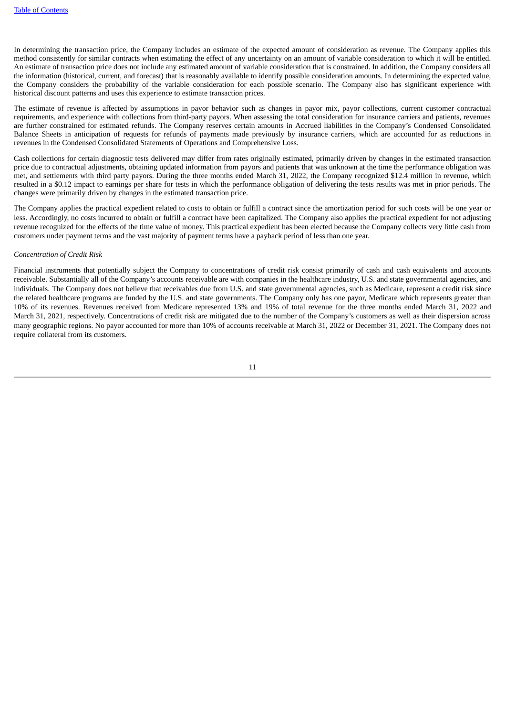In determining the transaction price, the Company includes an estimate of the expected amount of consideration as revenue. The Company applies this method consistently for similar contracts when estimating the effect of any uncertainty on an amount of variable consideration to which it will be entitled. An estimate of transaction price does not include any estimated amount of variable consideration that is constrained. In addition, the Company considers all the information (historical, current, and forecast) that is reasonably available to identify possible consideration amounts. In determining the expected value, the Company considers the probability of the variable consideration for each possible scenario. The Company also has significant experience with historical discount patterns and uses this experience to estimate transaction prices.

The estimate of revenue is affected by assumptions in payor behavior such as changes in payor mix, payor collections, current customer contractual requirements, and experience with collections from third-party payors. When assessing the total consideration for insurance carriers and patients, revenues are further constrained for estimated refunds. The Company reserves certain amounts in Accrued liabilities in the Company's Condensed Consolidated Balance Sheets in anticipation of requests for refunds of payments made previously by insurance carriers, which are accounted for as reductions in revenues in the Condensed Consolidated Statements of Operations and Comprehensive Loss.

Cash collections for certain diagnostic tests delivered may differ from rates originally estimated, primarily driven by changes in the estimated transaction price due to contractual adjustments, obtaining updated information from payors and patients that was unknown at the time the performance obligation was met, and settlements with third party payors. During the three months ended March 31, 2022, the Company recognized \$12.4 million in revenue, which resulted in a \$0.12 impact to earnings per share for tests in which the performance obligation of delivering the tests results was met in prior periods. The changes were primarily driven by changes in the estimated transaction price.

The Company applies the practical expedient related to costs to obtain or fulfill a contract since the amortization period for such costs will be one year or less. Accordingly, no costs incurred to obtain or fulfill a contract have been capitalized. The Company also applies the practical expedient for not adjusting revenue recognized for the effects of the time value of money. This practical expedient has been elected because the Company collects very little cash from customers under payment terms and the vast majority of payment terms have a payback period of less than one year.

#### *Concentration of Credit Risk*

Financial instruments that potentially subject the Company to concentrations of credit risk consist primarily of cash and cash equivalents and accounts receivable. Substantially all of the Company's accounts receivable are with companies in the healthcare industry, U.S. and state governmental agencies, and individuals. The Company does not believe that receivables due from U.S. and state governmental agencies, such as Medicare, represent a credit risk since the related healthcare programs are funded by the U.S. and state governments. The Company only has one payor, Medicare which represents greater than 10% of its revenues. Revenues received from Medicare represented 13% and 19% of total revenue for the three months ended March 31, 2022 and March 31, 2021, respectively. Concentrations of credit risk are mitigated due to the number of the Company's customers as well as their dispersion across many geographic regions. No payor accounted for more than 10% of accounts receivable at March 31, 2022 or December 31, 2021. The Company does not require collateral from its customers.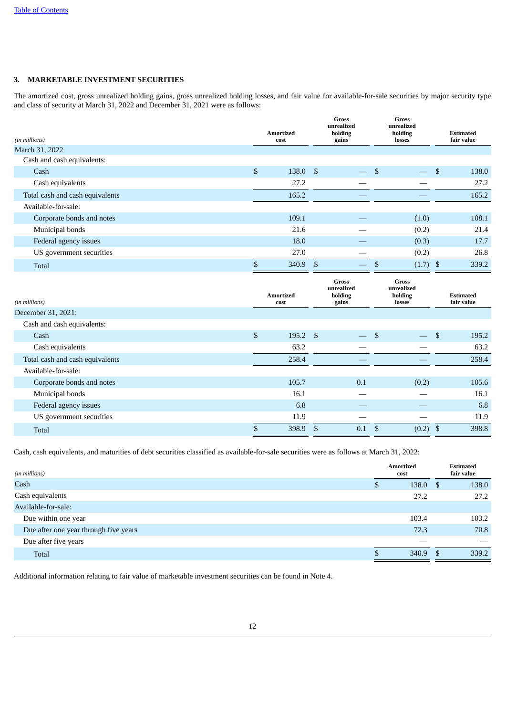# **3. MARKETABLE INVESTMENT SECURITIES**

The amortized cost, gross unrealized holding gains, gross unrealized holding losses, and fair value for available-for-sale securities by major security type and class of security at March 31, 2022 and December 31, 2021 were as follows:

| (in millions)                   | <b>Amortized</b><br>cost | <b>Gross</b><br><b>Gross</b><br>unrealized<br>unrealized<br>holding<br>holding<br>losses |       |               | <b>Estimated</b><br>fair value |      |       |
|---------------------------------|--------------------------|------------------------------------------------------------------------------------------|-------|---------------|--------------------------------|------|-------|
| March 31, 2022                  |                          |                                                                                          | gains |               |                                |      |       |
|                                 |                          |                                                                                          |       |               |                                |      |       |
| Cash and cash equivalents:      |                          |                                                                                          |       |               |                                |      |       |
| Cash                            | \$<br>138.0              | -\$                                                                                      |       | <sup>\$</sup> |                                | \$   | 138.0 |
| Cash equivalents                | 27.2                     |                                                                                          |       |               |                                |      | 27.2  |
| Total cash and cash equivalents | 165.2                    |                                                                                          |       |               |                                |      | 165.2 |
| Available-for-sale:             |                          |                                                                                          |       |               |                                |      |       |
| Corporate bonds and notes       | 109.1                    |                                                                                          |       |               | (1.0)                          |      | 108.1 |
| Municipal bonds                 | 21.6                     |                                                                                          |       |               | (0.2)                          |      | 21.4  |
| Federal agency issues           | 18.0                     |                                                                                          |       |               | (0.3)                          |      | 17.7  |
| US government securities        | 27.0                     |                                                                                          |       |               | (0.2)                          |      | 26.8  |
| <b>Total</b>                    | \$<br>340.9              | $\mathfrak{S}$                                                                           |       |               | (1.7)                          | - \$ | 339.2 |

|                                 | <b>Gross</b><br>unrealized<br>holding<br>Amortized |       |      | <b>Gross</b><br>unrealized<br>holding | <b>Estimated</b> |            |             |
|---------------------------------|----------------------------------------------------|-------|------|---------------------------------------|------------------|------------|-------------|
| (in millions)                   |                                                    | cost  |      | gains                                 |                  | losses     | fair value  |
| December 31, 2021:              |                                                    |       |      |                                       |                  |            |             |
| Cash and cash equivalents:      |                                                    |       |      |                                       |                  |            |             |
| Cash                            | \$                                                 | 195.2 | - \$ | $\overline{\phantom{0}}$              | \$               |            | \$<br>195.2 |
| Cash equivalents                |                                                    | 63.2  |      |                                       |                  |            | 63.2        |
| Total cash and cash equivalents |                                                    | 258.4 |      |                                       |                  |            | 258.4       |
| Available-for-sale:             |                                                    |       |      |                                       |                  |            |             |
| Corporate bonds and notes       |                                                    | 105.7 |      | 0.1                                   |                  | (0.2)      | 105.6       |
| Municipal bonds                 |                                                    | 16.1  |      |                                       |                  |            | 16.1        |
| Federal agency issues           |                                                    | 6.8   |      |                                       |                  |            | 6.8         |
| US government securities        |                                                    | 11.9  |      |                                       |                  |            | 11.9        |
| <b>Total</b>                    |                                                    | 398.9 | -\$  | 0.1                                   | - \$             | $(0.2)$ \$ | 398.8       |

Cash, cash equivalents, and maturities of debt securities classified as available-for-sale securities were as follows at March 31, 2022:

| (in millions)                         | <b>Amortized</b><br>cost |    | <b>Estimated</b><br>fair value |
|---------------------------------------|--------------------------|----|--------------------------------|
| Cash                                  | 138.0                    | -S | 138.0                          |
| Cash equivalents                      | 27.2                     |    | 27.2                           |
| Available-for-sale:                   |                          |    |                                |
| Due within one year                   | 103.4                    |    | 103.2                          |
| Due after one year through five years | 72.3                     |    | 70.8                           |
| Due after five years                  |                          |    |                                |
| Total                                 | 340.9                    | -S | 339.2                          |

Additional information relating to fair value of marketable investment securities can be found in Note 4.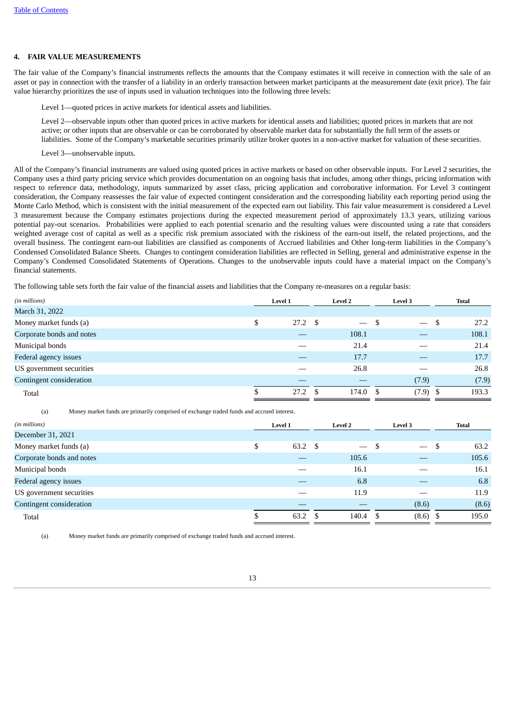# **4. FAIR VALUE MEASUREMENTS**

The fair value of the Company's financial instruments reflects the amounts that the Company estimates it will receive in connection with the sale of an asset or pay in connection with the transfer of a liability in an orderly transaction between market participants at the measurement date (exit price). The fair value hierarchy prioritizes the use of inputs used in valuation techniques into the following three levels:

Level 1—quoted prices in active markets for identical assets and liabilities.

Level 2—observable inputs other than quoted prices in active markets for identical assets and liabilities; quoted prices in markets that are not active; or other inputs that are observable or can be corroborated by observable market data for substantially the full term of the assets or liabilities. Some of the Company's marketable securities primarily utilize broker quotes in a non-active market for valuation of these securities.

Level 3—unobservable inputs.

All of the Company's financial instruments are valued using quoted prices in active markets or based on other observable inputs. For Level 2 securities, the Company uses a third party pricing service which provides documentation on an ongoing basis that includes, among other things, pricing information with respect to reference data, methodology, inputs summarized by asset class, pricing application and corroborative information. For Level 3 contingent consideration, the Company reassesses the fair value of expected contingent consideration and the corresponding liability each reporting period using the Monte Carlo Method, which is consistent with the initial measurement of the expected earn out liability. This fair value measurement is considered a Level 3 measurement because the Company estimates projections during the expected measurement period of approximately 13.3 years, utilizing various potential pay-out scenarios. Probabilities were applied to each potential scenario and the resulting values were discounted using a rate that considers weighted average cost of capital as well as a specific risk premium associated with the riskiness of the earn-out itself, the related projections, and the overall business. The contingent earn-out liabilities are classified as components of Accrued liabilities and Other long-term liabilities in the Company's Condensed Consolidated Balance Sheets. Changes to contingent consideration liabilities are reflected in Selling, general and administrative expense in the Company's Condensed Consolidated Statements of Operations. Changes to the unobservable inputs could have a material impact on the Company's financial statements.

The following table sets forth the fair value of the financial assets and liabilities that the Company re-measures on a regular basis:

| (in millions)             | Level 1    | <b>Level 2</b>                   | <b>Level 3</b>                | <b>Total</b>  |
|---------------------------|------------|----------------------------------|-------------------------------|---------------|
| March 31, 2022            |            |                                  |                               |               |
| Money market funds (a)    | \$<br>27.2 | - \$<br>$\overline{\phantom{m}}$ | $\overbrace{\phantom{12333}}$ | -\$<br>27.2   |
| Corporate bonds and notes |            | 108.1                            |                               | 108.1         |
| Municipal bonds           |            | 21.4                             |                               | 21.4          |
| Federal agency issues     |            | 17.7                             |                               | 17.7          |
| US government securities  |            | 26.8                             |                               | 26.8          |
| Contingent consideration  |            |                                  | (7.9)                         | (7.9)         |
| Total                     | 27.2       | 174.0<br>-\$                     | (7.9)                         | 193.3<br>- \$ |
|                           |            |                                  |                               |               |

(a) Money market funds are primarily comprised of exchange traded funds and accrued interest.

| (in millions)             | <b>Level 1</b> |      | <b>Level 2</b> | Level 3    |      | <b>Total</b> |
|---------------------------|----------------|------|----------------|------------|------|--------------|
| December 31, 2021         |                |      |                |            |      |              |
| Money market funds (a)    | \$<br>63.2     | - \$ |                |            | - \$ | 63.2         |
| Corporate bonds and notes |                |      | 105.6          |            |      | 105.6        |
| Municipal bonds           |                |      | 16.1           |            |      | 16.1         |
| Federal agency issues     |                |      | 6.8            |            |      | 6.8          |
| US government securities  |                |      | 11.9           |            |      | 11.9         |
| Contingent consideration  |                |      |                | (8.6)      |      | (8.6)        |
| Total                     | 63.2           |      | 140.4          | $(8.6)$ \$ |      | 195.0        |

(a) Money market funds are primarily comprised of exchange traded funds and accrued interest.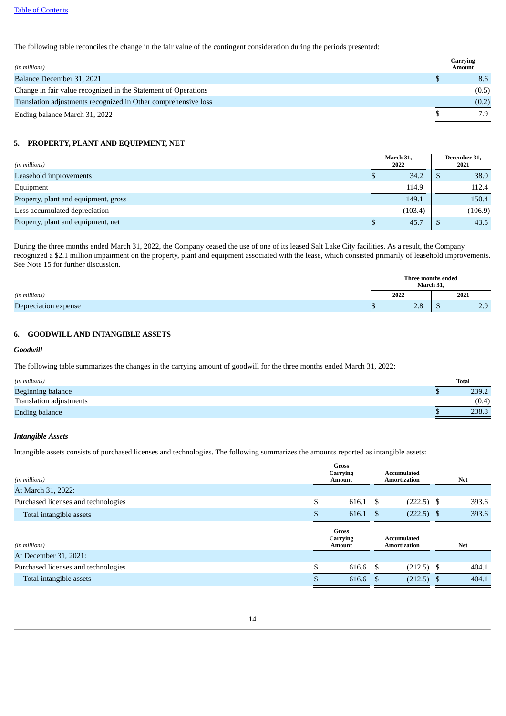The following table reconciles the change in the fair value of the contingent consideration during the periods presented:

| (in millions)                                                  | Carrying<br>Amount |
|----------------------------------------------------------------|--------------------|
| Balance December 31, 2021                                      | 8.6                |
| Change in fair value recognized in the Statement of Operations | (0.5)              |
| Translation adjustments recognized in Other comprehensive loss | (0.2)              |
| Ending balance March 31, 2022                                  | 7.9                |

# **5. PROPERTY, PLANT AND EQUIPMENT, NET**

| (in millions)                        | March 31,<br>2022 | December 31,<br>2021 |
|--------------------------------------|-------------------|----------------------|
| Leasehold improvements               | 34.2              | 38.0                 |
| Equipment                            | 114.9             | 112.4                |
| Property, plant and equipment, gross | 149.1             | 150.4                |
| Less accumulated depreciation        | (103.4)           | (106.9)              |
| Property, plant and equipment, net   | 45.               | 43.5                 |

During the three months ended March 31, 2022, the Company ceased the use of one of its leased Salt Lake City facilities. As a result, the Company recognized a \$2.1 million impairment on the property, plant and equipment associated with the lease, which consisted primarily of leasehold improvements. See Note 15 for further discussion.

| (in millions)        |  | Three months ended<br>March 31 |   |           |  |  |
|----------------------|--|--------------------------------|---|-----------|--|--|
|                      |  | 2022                           |   | 2021      |  |  |
| Depreciation expense |  | റ റ<br>2.U                     | ш | 20<br>ں ک |  |  |

# **6. GOODWILL AND INTANGIBLE ASSETS**

# *Goodwill*

The following table summarizes the changes in the carrying amount of goodwill for the three months ended March 31, 2022:

| (in millions)           | <b>Total</b> |
|-------------------------|--------------|
| Beginning balance       | 239.2        |
| Translation adjustments | (0.4)        |
| <b>Ending balance</b>   | 238.8        |

# *Intangible Assets*

Intangible assets consists of purchased licenses and technologies. The following summarizes the amounts reported as intangible assets:

| (in millions)                       | <b>Gross</b><br>Carrying<br><b>Amount</b> |      | Accumulated<br><b>Amortization</b>        | Net   |
|-------------------------------------|-------------------------------------------|------|-------------------------------------------|-------|
| At March 31, 2022:                  |                                           |      |                                           |       |
| Purchased licenses and technologies | \$<br>616.1                               | - \$ | $(222.5)$ \$                              | 393.6 |
| Total intangible assets             | 616.1 \$                                  |      | $(222.5)$ \$                              | 393.6 |
| (in millions)                       | <b>Gross</b><br>Carrying<br>Amount        |      | <b>Accumulated</b><br><b>Amortization</b> | Net   |
| At December 31, 2021:               |                                           |      |                                           |       |
| Purchased licenses and technologies | \$<br>616.6 \$                            |      | $(212.5)$ \$                              | 404.1 |
| Total intangible assets             | 616.6                                     |      | $(212.5)$ \$                              | 404.1 |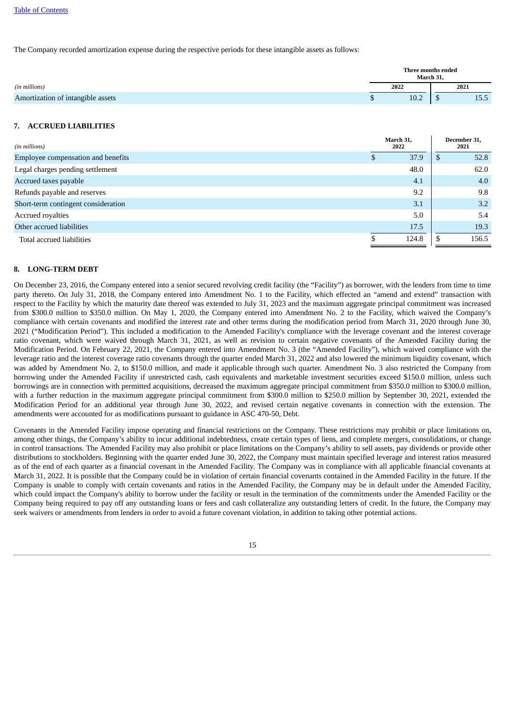The Company recorded amortization expense during the respective periods for these intangible assets as follows:

|                                   | Three months ended<br>March 31, |  |      |  |
|-----------------------------------|---------------------------------|--|------|--|
| (in millions)                     | 2022                            |  | 2021 |  |
| Amortization of intangible assets | 10.2                            |  | 15.5 |  |
|                                   |                                 |  |      |  |

# **7. ACCRUED LIABILITIES**

| (in millions)                       | March 31,<br>2022 |    | December 31,<br>2021 |
|-------------------------------------|-------------------|----|----------------------|
| Employee compensation and benefits  | 37.9              | -S | 52.8                 |
| Legal charges pending settlement    | 48.0              |    | 62.0                 |
| Accrued taxes payable               | 4.1               |    | 4.0                  |
| Refunds payable and reserves        | 9.2               |    | 9.8                  |
| Short-term contingent consideration | 3.1               |    | 3.2                  |
| Accrued royalties                   | 5.0               |    | 5.4                  |
| Other accrued liabilities           | 17.5              |    | 19.3                 |
| Total accrued liabilities           | 124.8             |    | 156.5                |

# **8. LONG-TERM DEBT**

On December 23, 2016, the Company entered into a senior secured revolving credit facility (the "Facility") as borrower, with the lenders from time to time party thereto. On July 31, 2018, the Company entered into Amendment No. 1 to the Facility, which effected an "amend and extend" transaction with respect to the Facility by which the maturity date thereof was extended to July 31, 2023 and the maximum aggregate principal commitment was increased from \$300.0 million to \$350.0 million. On May 1, 2020, the Company entered into Amendment No. 2 to the Facility, which waived the Company's compliance with certain covenants and modified the interest rate and other terms during the modification period from March 31, 2020 through June 30, 2021 ("Modification Period"). This included a modification to the Amended Facility's compliance with the leverage covenant and the interest coverage ratio covenant, which were waived through March 31, 2021, as well as revision to certain negative covenants of the Amended Facility during the Modification Period. On February 22, 2021, the Company entered into Amendment No. 3 (the "Amended Facility"), which waived compliance with the leverage ratio and the interest coverage ratio covenants through the quarter ended March 31, 2022 and also lowered the minimum liquidity covenant, which was added by Amendment No. 2, to \$150.0 million, and made it applicable through such quarter. Amendment No. 3 also restricted the Company from borrowing under the Amended Facility if unrestricted cash, cash equivalents and marketable investment securities exceed \$150.0 million, unless such borrowings are in connection with permitted acquisitions, decreased the maximum aggregate principal commitment from \$350.0 million to \$300.0 million, with a further reduction in the maximum aggregate principal commitment from \$300.0 million to \$250.0 million by September 30, 2021, extended the Modification Period for an additional year through June 30, 2022, and revised certain negative covenants in connection with the extension. The amendments were accounted for as modifications pursuant to guidance in ASC 470-50, Debt.

Covenants in the Amended Facility impose operating and financial restrictions on the Company. These restrictions may prohibit or place limitations on, among other things, the Company's ability to incur additional indebtedness, create certain types of liens, and complete mergers, consolidations, or change in control transactions. The Amended Facility may also prohibit or place limitations on the Company's ability to sell assets, pay dividends or provide other distributions to stockholders. Beginning with the quarter ended June 30, 2022, the Company must maintain specified leverage and interest ratios measured as of the end of each quarter as a financial covenant in the Amended Facility. The Company was in compliance with all applicable financial covenants at March 31, 2022. It is possible that the Company could be in violation of certain financial covenants contained in the Amended Facility in the future. If the Company is unable to comply with certain covenants and ratios in the Amended Facility, the Company may be in default under the Amended Facility, which could impact the Company's ability to borrow under the facility or result in the termination of the commitments under the Amended Facility or the Company being required to pay off any outstanding loans or fees and cash collateralize any outstanding letters of credit. In the future, the Company may seek waivers or amendments from lenders in order to avoid a future covenant violation, in addition to taking other potential actions.

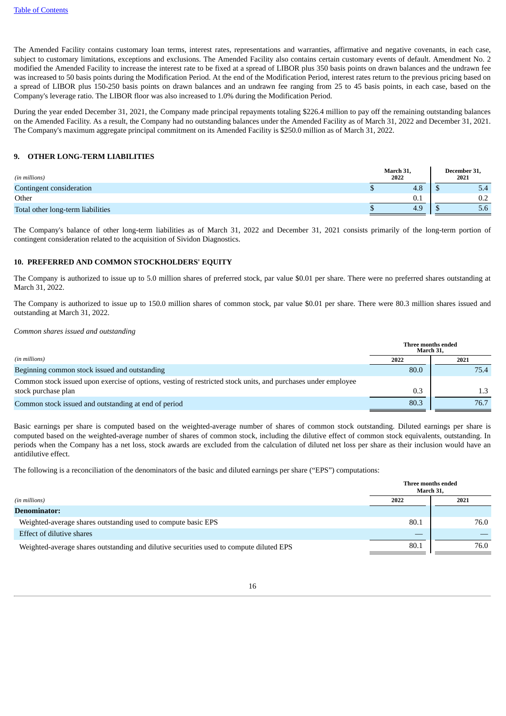The Amended Facility contains customary loan terms, interest rates, representations and warranties, affirmative and negative covenants, in each case, subject to customary limitations, exceptions and exclusions. The Amended Facility also contains certain customary events of default. Amendment No. 2 modified the Amended Facility to increase the interest rate to be fixed at a spread of LIBOR plus 350 basis points on drawn balances and the undrawn fee was increased to 50 basis points during the Modification Period. At the end of the Modification Period, interest rates return to the previous pricing based on a spread of LIBOR plus 150-250 basis points on drawn balances and an undrawn fee ranging from 25 to 45 basis points, in each case, based on the Company's leverage ratio. The LIBOR floor was also increased to 1.0% during the Modification Period.

During the year ended December 31, 2021, the Company made principal repayments totaling \$226.4 million to pay off the remaining outstanding balances on the Amended Facility. As a result, the Company had no outstanding balances under the Amended Facility as of March 31, 2022 and December 31, 2021. The Company's maximum aggregate principal commitment on its Amended Facility is \$250.0 million as of March 31, 2022.

### **9. OTHER LONG-TERM LIABILITIES**

| (in millions)                     | March 31,<br>2022 |  | December 31,<br>2021 |
|-----------------------------------|-------------------|--|----------------------|
| Contingent consideration          | 4.8               |  | 5.4                  |
| Other                             | v.                |  | 0.2                  |
| Total other long-term liabilities | 4.9               |  | 5.6                  |

The Company's balance of other long-term liabilities as of March 31, 2022 and December 31, 2021 consists primarily of the long-term portion of contingent consideration related to the acquisition of Sividon Diagnostics.

#### **10. PREFERRED AND COMMON STOCKHOLDERS' EQUITY**

The Company is authorized to issue up to 5.0 million shares of preferred stock, par value \$0.01 per share. There were no preferred shares outstanding at March 31, 2022.

The Company is authorized to issue up to 150.0 million shares of common stock, par value \$0.01 per share. There were 80.3 million shares issued and outstanding at March 31, 2022.

*Common shares issued and outstanding*

|                                                                                                               | Three months ended<br>March 31. |      |  |  |
|---------------------------------------------------------------------------------------------------------------|---------------------------------|------|--|--|
| (in millions)                                                                                                 | 2022                            | 2021 |  |  |
| Beginning common stock issued and outstanding                                                                 | 80.0                            | 75.4 |  |  |
| Common stock issued upon exercise of options, vesting of restricted stock units, and purchases under employee |                                 |      |  |  |
| stock purchase plan                                                                                           | 0.3                             | 1.3  |  |  |
| Common stock issued and outstanding at end of period                                                          | 80.3                            | 76.7 |  |  |

Basic earnings per share is computed based on the weighted-average number of shares of common stock outstanding. Diluted earnings per share is computed based on the weighted-average number of shares of common stock, including the dilutive effect of common stock equivalents, outstanding. In periods when the Company has a net loss, stock awards are excluded from the calculation of diluted net loss per share as their inclusion would have an antidilutive effect.

The following is a reconciliation of the denominators of the basic and diluted earnings per share ("EPS") computations:

|                                                                                         | Three months ended<br>March 31, |      |  |  |  |  |
|-----------------------------------------------------------------------------------------|---------------------------------|------|--|--|--|--|
| (in millions)                                                                           | 2022                            | 2021 |  |  |  |  |
| Denominator:                                                                            |                                 |      |  |  |  |  |
| Weighted-average shares outstanding used to compute basic EPS                           | 80.1                            | 76.0 |  |  |  |  |
| Effect of dilutive shares                                                               | __                              |      |  |  |  |  |
| Weighted-average shares outstanding and dilutive securities used to compute diluted EPS | 80.1                            | 76.0 |  |  |  |  |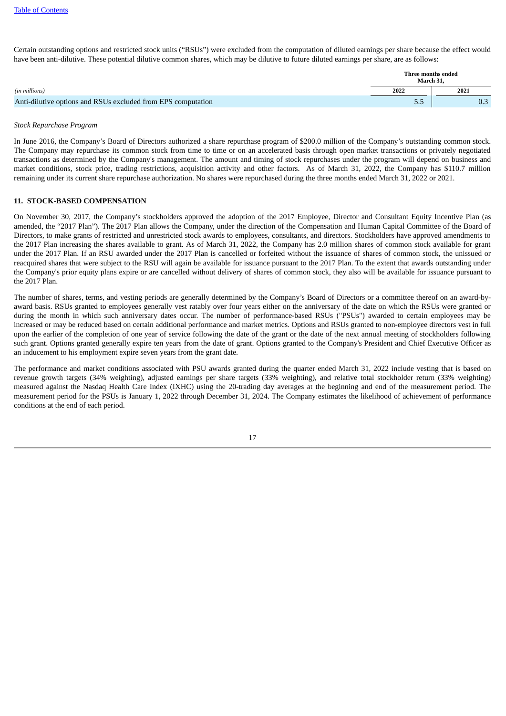Certain outstanding options and restricted stock units ("RSUs") were excluded from the computation of diluted earnings per share because the effect would have been anti-dilutive. These potential dilutive common shares, which may be dilutive to future diluted earnings per share, are as follows:

|                                                              | Three months ended<br>March 31 |      |  |  |  |  |
|--------------------------------------------------------------|--------------------------------|------|--|--|--|--|
| (in millions)                                                | 2022                           | 2021 |  |  |  |  |
| Anti-dilutive options and RSUs excluded from EPS computation | 5.5                            | 0.3  |  |  |  |  |

#### *Stock Repurchase Program*

In June 2016, the Company's Board of Directors authorized a share repurchase program of \$200.0 million of the Company's outstanding common stock. The Company may repurchase its common stock from time to time or on an accelerated basis through open market transactions or privately negotiated transactions as determined by the Company's management. The amount and timing of stock repurchases under the program will depend on business and market conditions, stock price, trading restrictions, acquisition activity and other factors. As of March 31, 2022, the Company has \$110.7 million remaining under its current share repurchase authorization. No shares were repurchased during the three months ended March 31, 2022 or 2021.

# **11. STOCK-BASED COMPENSATION**

On November 30, 2017, the Company's stockholders approved the adoption of the 2017 Employee, Director and Consultant Equity Incentive Plan (as amended, the "2017 Plan"). The 2017 Plan allows the Company, under the direction of the Compensation and Human Capital Committee of the Board of Directors, to make grants of restricted and unrestricted stock awards to employees, consultants, and directors. Stockholders have approved amendments to the 2017 Plan increasing the shares available to grant. As of March 31, 2022, the Company has 2.0 million shares of common stock available for grant under the 2017 Plan. If an RSU awarded under the 2017 Plan is cancelled or forfeited without the issuance of shares of common stock, the unissued or reacquired shares that were subject to the RSU will again be available for issuance pursuant to the 2017 Plan. To the extent that awards outstanding under the Company's prior equity plans expire or are cancelled without delivery of shares of common stock, they also will be available for issuance pursuant to the 2017 Plan.

The number of shares, terms, and vesting periods are generally determined by the Company's Board of Directors or a committee thereof on an award-byaward basis. RSUs granted to employees generally vest ratably over four years either on the anniversary of the date on which the RSUs were granted or during the month in which such anniversary dates occur. The number of performance-based RSUs ("PSUs") awarded to certain employees may be increased or may be reduced based on certain additional performance and market metrics. Options and RSUs granted to non-employee directors vest in full upon the earlier of the completion of one year of service following the date of the grant or the date of the next annual meeting of stockholders following such grant. Options granted generally expire ten years from the date of grant. Options granted to the Company's President and Chief Executive Officer as an inducement to his employment expire seven years from the grant date.

The performance and market conditions associated with PSU awards granted during the quarter ended March 31, 2022 include vesting that is based on revenue growth targets (34% weighting), adjusted earnings per share targets (33% weighting), and relative total stockholder return (33% weighting) measured against the Nasdaq Health Care Index (IXHC) using the 20-trading day averages at the beginning and end of the measurement period. The measurement period for the PSUs is January 1, 2022 through December 31, 2024. The Company estimates the likelihood of achievement of performance conditions at the end of each period.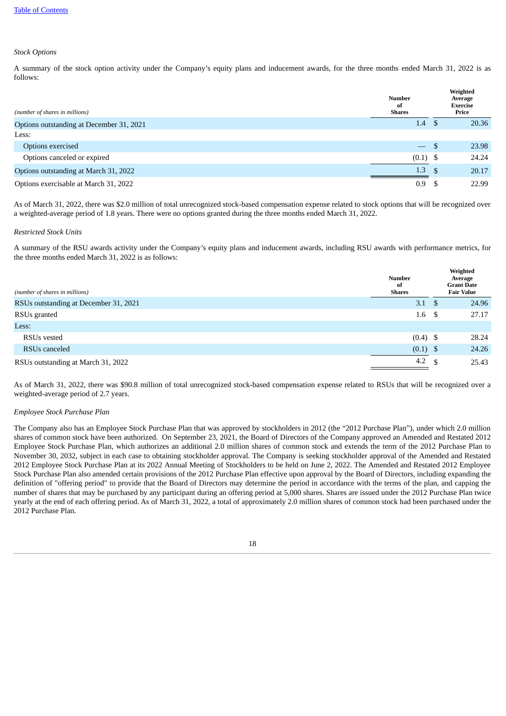### *Stock Options*

A summary of the stock option activity under the Company's equity plans and inducement awards, for the three months ended March 31, 2022 is as follows:

| (number of shares in millions)           | <b>Number</b><br>of<br><b>Shares</b> |   | Weighted<br>Average<br><b>Exercise</b><br>Price |
|------------------------------------------|--------------------------------------|---|-------------------------------------------------|
| Options outstanding at December 31, 2021 | $1.4 \quad$ \$                       |   | 20.36                                           |
| Less:                                    |                                      |   |                                                 |
| Options exercised                        | $-$ \$                               |   | 23.98                                           |
| Options canceled or expired              | $(0.1)$ \$                           |   | 24.24                                           |
| Options outstanding at March 31, 2022    | 1.3 <sub>5</sub>                     |   | 20.17                                           |
| Options exercisable at March 31, 2022    | 0.9                                  | S | 22.99                                           |

As of March 31, 2022, there was \$2.0 million of total unrecognized stock-based compensation expense related to stock options that will be recognized over a weighted-average period of 1.8 years. There were no options granted during the three months ended March 31, 2022.

### *Restricted Stock Units*

A summary of the RSU awards activity under the Company's equity plans and inducement awards, including RSU awards with performance metrics, for the three months ended March 31, 2022 is as follows:

| (number of shares in millions)        | <b>Number</b><br>of<br><b>Shares</b> |   | Average<br><b>Grant Date</b><br><b>Fair Value</b> |
|---------------------------------------|--------------------------------------|---|---------------------------------------------------|
| RSUs outstanding at December 31, 2021 | 3.1 $\sqrt{ }$                       |   | 24.96                                             |
| RSUs granted                          | 1.6 <sup>5</sup>                     |   | 27.17                                             |
| Less:                                 |                                      |   |                                                   |
| <b>RSUs vested</b>                    | $(0.4)$ \$                           |   | 28.24                                             |
| RSUs canceled                         | $(0.1)$ \$                           |   | 24.26                                             |
| RSUs outstanding at March 31, 2022    | 4.2                                  | S | 25.43                                             |

As of March 31, 2022, there was \$90.8 million of total unrecognized stock-based compensation expense related to RSUs that will be recognized over a weighted-average period of 2.7 years.

#### *Employee Stock Purchase Plan*

The Company also has an Employee Stock Purchase Plan that was approved by stockholders in 2012 (the "2012 Purchase Plan"), under which 2.0 million shares of common stock have been authorized. On September 23, 2021, the Board of Directors of the Company approved an Amended and Restated 2012 Employee Stock Purchase Plan, which authorizes an additional 2.0 million shares of common stock and extends the term of the 2012 Purchase Plan to November 30, 2032, subject in each case to obtaining stockholder approval. The Company is seeking stockholder approval of the Amended and Restated 2012 Employee Stock Purchase Plan at its 2022 Annual Meeting of Stockholders to be held on June 2, 2022. The Amended and Restated 2012 Employee Stock Purchase Plan also amended certain provisions of the 2012 Purchase Plan effective upon approval by the Board of Directors, including expanding the definition of "offering period" to provide that the Board of Directors may determine the period in accordance with the terms of the plan, and capping the number of shares that may be purchased by any participant during an offering period at 5,000 shares. Shares are issued under the 2012 Purchase Plan twice yearly at the end of each offering period. As of March 31, 2022, a total of approximately 2.0 million shares of common stock had been purchased under the 2012 Purchase Plan.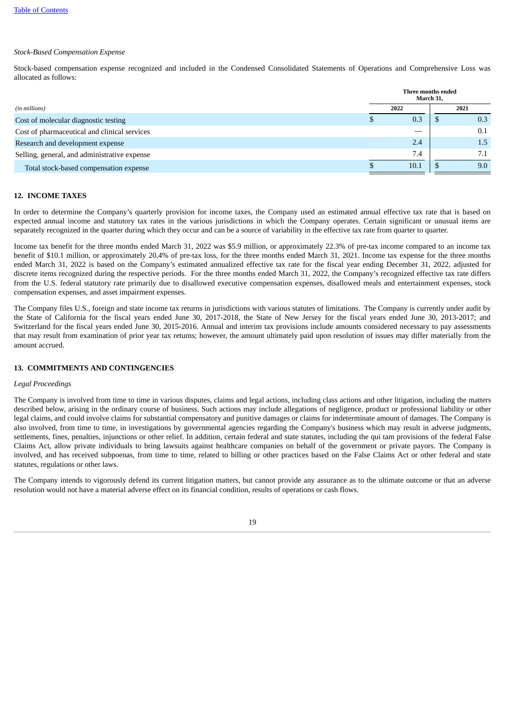# *Stock-Based Compensation Expense*

Stock-based compensation expense recognized and included in the Condensed Consolidated Statements of Operations and Comprehensive Loss was allocated as follows:

|                                              | Three months ended<br>March 31, |      |   |      |  |  |
|----------------------------------------------|---------------------------------|------|---|------|--|--|
| (in millions)                                |                                 | 2022 |   | 2021 |  |  |
| Cost of molecular diagnostic testing         |                                 | 0.3  | ა | 0.3  |  |  |
| Cost of pharmaceutical and clinical services |                                 | __   |   | 0.1  |  |  |
| Research and development expense             |                                 | 2.4  |   | 1.5  |  |  |
| Selling, general, and administrative expense |                                 | 7.4  |   | 7.1  |  |  |
| Total stock-based compensation expense       |                                 | 10.1 |   | 9.0  |  |  |

# **12. INCOME TAXES**

In order to determine the Company's quarterly provision for income taxes, the Company used an estimated annual effective tax rate that is based on expected annual income and statutory tax rates in the various jurisdictions in which the Company operates. Certain significant or unusual items are separately recognized in the quarter during which they occur and can be a source of variability in the effective tax rate from quarter to quarter.

Income tax benefit for the three months ended March 31, 2022 was \$5.9 million, or approximately 22.3% of pre-tax income compared to an income tax benefit of \$10.1 million, or approximately 20.4% of pre-tax loss, for the three months ended March 31, 2021. Income tax expense for the three months ended March 31, 2022 is based on the Company's estimated annualized effective tax rate for the fiscal year ending December 31, 2022, adjusted for discrete items recognized during the respective periods. For the three months ended March 31, 2022, the Company's recognized effective tax rate differs from the U.S. federal statutory rate primarily due to disallowed executive compensation expenses, disallowed meals and entertainment expenses, stock compensation expenses, and asset impairment expenses.

The Company files U.S., foreign and state income tax returns in jurisdictions with various statutes of limitations. The Company is currently under audit by the State of California for the fiscal years ended June 30, 2017-2018, the State of New Jersey for the fiscal years ended June 30, 2013-2017; and Switzerland for the fiscal years ended June 30, 2015-2016. Annual and interim tax provisions include amounts considered necessary to pay assessments that may result from examination of prior year tax returns; however, the amount ultimately paid upon resolution of issues may differ materially from the amount accrued.

### **13. COMMITMENTS AND CONTINGENCIES**

#### *Legal Proceedings*

The Company is involved from time to time in various disputes, claims and legal actions, including class actions and other litigation, including the matters described below, arising in the ordinary course of business. Such actions may include allegations of negligence, product or professional liability or other legal claims, and could involve claims for substantial compensatory and punitive damages or claims for indeterminate amount of damages. The Company is also involved, from time to time, in investigations by governmental agencies regarding the Company's business which may result in adverse judgments, settlements, fines, penalties, injunctions or other relief. In addition, certain federal and state statutes, including the qui tam provisions of the federal False Claims Act, allow private individuals to bring lawsuits against healthcare companies on behalf of the government or private payors. The Company is involved, and has received subpoenas, from time to time, related to billing or other practices based on the False Claims Act or other federal and state statutes, regulations or other laws.

The Company intends to vigorously defend its current litigation matters, but cannot provide any assurance as to the ultimate outcome or that an adverse resolution would not have a material adverse effect on its financial condition, results of operations or cash flows.

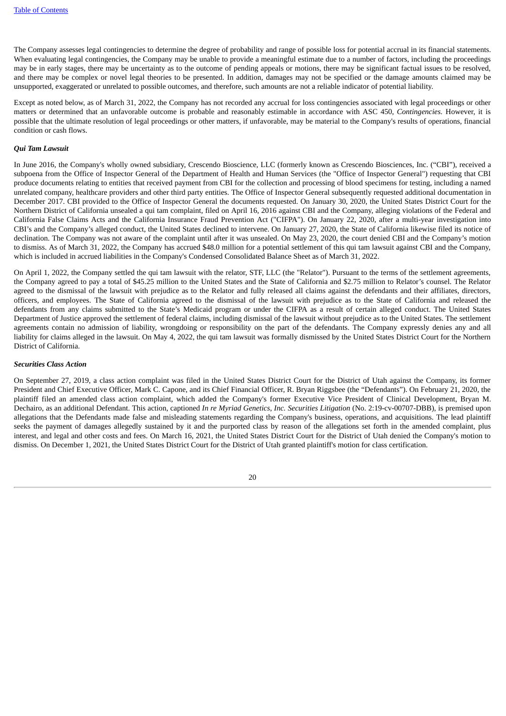The Company assesses legal contingencies to determine the degree of probability and range of possible loss for potential accrual in its financial statements. When evaluating legal contingencies, the Company may be unable to provide a meaningful estimate due to a number of factors, including the proceedings may be in early stages, there may be uncertainty as to the outcome of pending appeals or motions, there may be significant factual issues to be resolved, and there may be complex or novel legal theories to be presented. In addition, damages may not be specified or the damage amounts claimed may be unsupported, exaggerated or unrelated to possible outcomes, and therefore, such amounts are not a reliable indicator of potential liability.

Except as noted below, as of March 31, 2022, the Company has not recorded any accrual for loss contingencies associated with legal proceedings or other matters or determined that an unfavorable outcome is probable and reasonably estimable in accordance with ASC 450, *Contingencies.* However, it is possible that the ultimate resolution of legal proceedings or other matters, if unfavorable, may be material to the Company's results of operations, financial condition or cash flows.

### *Qui Tam Lawsuit*

In June 2016, the Company's wholly owned subsidiary, Crescendo Bioscience, LLC (formerly known as Crescendo Biosciences, Inc. ("CBI"), received a subpoena from the Office of Inspector General of the Department of Health and Human Services (the "Office of Inspector General") requesting that CBI produce documents relating to entities that received payment from CBI for the collection and processing of blood specimens for testing, including a named unrelated company, healthcare providers and other third party entities. The Office of Inspector General subsequently requested additional documentation in December 2017. CBI provided to the Office of Inspector General the documents requested. On January 30, 2020, the United States District Court for the Northern District of California unsealed a qui tam complaint, filed on April 16, 2016 against CBI and the Company, alleging violations of the Federal and California False Claims Acts and the California Insurance Fraud Prevention Act ("CIFPA"). On January 22, 2020, after a multi-year investigation into CBI's and the Company's alleged conduct, the United States declined to intervene. On January 27, 2020, the State of California likewise filed its notice of declination. The Company was not aware of the complaint until after it was unsealed. On May 23, 2020, the court denied CBI and the Company's motion to dismiss. As of March 31, 2022, the Company has accrued \$48.0 million for a potential settlement of this qui tam lawsuit against CBI and the Company, which is included in accrued liabilities in the Company's Condensed Consolidated Balance Sheet as of March 31, 2022.

On April 1, 2022, the Company settled the qui tam lawsuit with the relator, STF, LLC (the "Relator"). Pursuant to the terms of the settlement agreements, the Company agreed to pay a total of \$45.25 million to the United States and the State of California and \$2.75 million to Relator's counsel. The Relator agreed to the dismissal of the lawsuit with prejudice as to the Relator and fully released all claims against the defendants and their affiliates, directors, officers, and employees. The State of California agreed to the dismissal of the lawsuit with prejudice as to the State of California and released the defendants from any claims submitted to the State's Medicaid program or under the CIFPA as a result of certain alleged conduct. The United States Department of Justice approved the settlement of federal claims, including dismissal of the lawsuit without prejudice as to the United States. The settlement agreements contain no admission of liability, wrongdoing or responsibility on the part of the defendants. The Company expressly denies any and all liability for claims alleged in the lawsuit. On May 4, 2022, the qui tam lawsuit was formally dismissed by the United States District Court for the Northern District of California.

#### *Securities Class Action*

On September 27, 2019, a class action complaint was filed in the United States District Court for the District of Utah against the Company, its former President and Chief Executive Officer, Mark C. Capone, and its Chief Financial Officer, R. Bryan Riggsbee (the "Defendants"). On February 21, 2020, the plaintiff filed an amended class action complaint, which added the Company's former Executive Vice President of Clinical Development, Bryan M. Dechairo, as an additional Defendant. This action, captioned *In re Myriad Genetics, Inc. Securities Litigation* (No. 2:19-cv-00707-DBB), is premised upon allegations that the Defendants made false and misleading statements regarding the Company's business, operations, and acquisitions. The lead plaintiff seeks the payment of damages allegedly sustained by it and the purported class by reason of the allegations set forth in the amended complaint, plus interest, and legal and other costs and fees. On March 16, 2021, the United States District Court for the District of Utah denied the Company's motion to dismiss. On December 1, 2021, the United States District Court for the District of Utah granted plaintiff's motion for class certification.

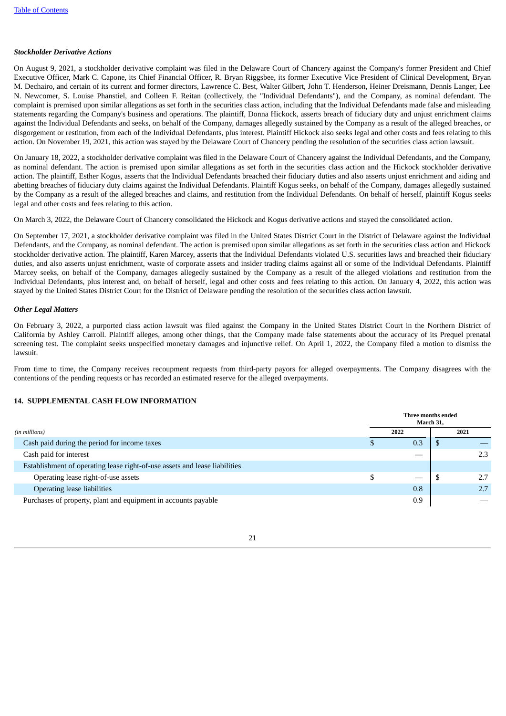# *Stockholder Derivative Actions*

On August 9, 2021, a stockholder derivative complaint was filed in the Delaware Court of Chancery against the Company's former President and Chief Executive Officer, Mark C. Capone, its Chief Financial Officer, R. Bryan Riggsbee, its former Executive Vice President of Clinical Development, Bryan M. Dechairo, and certain of its current and former directors, Lawrence C. Best, Walter Gilbert, John T. Henderson, Heiner Dreismann, Dennis Langer, Lee N. Newcomer, S. Louise Phanstiel, and Colleen F. Reitan (collectively, the "Individual Defendants"), and the Company, as nominal defendant. The complaint is premised upon similar allegations as set forth in the securities class action, including that the Individual Defendants made false and misleading statements regarding the Company's business and operations. The plaintiff, Donna Hickock, asserts breach of fiduciary duty and unjust enrichment claims against the Individual Defendants and seeks, on behalf of the Company, damages allegedly sustained by the Company as a result of the alleged breaches, or disgorgement or restitution, from each of the Individual Defendants, plus interest. Plaintiff Hickock also seeks legal and other costs and fees relating to this action. On November 19, 2021, this action was stayed by the Delaware Court of Chancery pending the resolution of the securities class action lawsuit.

On January 18, 2022, a stockholder derivative complaint was filed in the Delaware Court of Chancery against the Individual Defendants, and the Company, as nominal defendant. The action is premised upon similar allegations as set forth in the securities class action and the Hickock stockholder derivative action. The plaintiff, Esther Kogus, asserts that the Individual Defendants breached their fiduciary duties and also asserts unjust enrichment and aiding and abetting breaches of fiduciary duty claims against the Individual Defendants. Plaintiff Kogus seeks, on behalf of the Company, damages allegedly sustained by the Company as a result of the alleged breaches and claims, and restitution from the Individual Defendants. On behalf of herself, plaintiff Kogus seeks legal and other costs and fees relating to this action.

On March 3, 2022, the Delaware Court of Chancery consolidated the Hickock and Kogus derivative actions and stayed the consolidated action.

On September 17, 2021, a stockholder derivative complaint was filed in the United States District Court in the District of Delaware against the Individual Defendants, and the Company, as nominal defendant. The action is premised upon similar allegations as set forth in the securities class action and Hickock stockholder derivative action. The plaintiff, Karen Marcey, asserts that the Individual Defendants violated U.S. securities laws and breached their fiduciary duties, and also asserts unjust enrichment, waste of corporate assets and insider trading claims against all or some of the Individual Defendants. Plaintiff Marcey seeks, on behalf of the Company, damages allegedly sustained by the Company as a result of the alleged violations and restitution from the Individual Defendants, plus interest and, on behalf of herself, legal and other costs and fees relating to this action. On January 4, 2022, this action was stayed by the United States District Court for the District of Delaware pending the resolution of the securities class action lawsuit.

# *Other Legal Matters*

On February 3, 2022, a purported class action lawsuit was filed against the Company in the United States District Court in the Northern District of California by Ashley Carroll. Plaintiff alleges, among other things, that the Company made false statements about the accuracy of its Prequel prenatal screening test. The complaint seeks unspecified monetary damages and injunctive relief. On April 1, 2022, the Company filed a motion to dismiss the lawsuit.

From time to time, the Company receives recoupment requests from third-party payors for alleged overpayments. The Company disagrees with the contentions of the pending requests or has recorded an estimated reserve for the alleged overpayments.

# **14. SUPPLEMENTAL CASH FLOW INFORMATION**

|                                                                            | Three months ended<br>March 31, |    |      |  |  |  |  |
|----------------------------------------------------------------------------|---------------------------------|----|------|--|--|--|--|
| (in millions)                                                              | 2022                            |    | 2021 |  |  |  |  |
| Cash paid during the period for income taxes                               | 0.3                             | \$ |      |  |  |  |  |
| Cash paid for interest                                                     | __                              |    | 2.3  |  |  |  |  |
| Establishment of operating lease right-of-use assets and lease liabilities |                                 |    |      |  |  |  |  |
| Operating lease right-of-use assets                                        | __                              | S  | 2.7  |  |  |  |  |
| Operating lease liabilities                                                | 0.8                             |    | 2.7  |  |  |  |  |
| Purchases of property, plant and equipment in accounts payable             | 0.9                             |    |      |  |  |  |  |

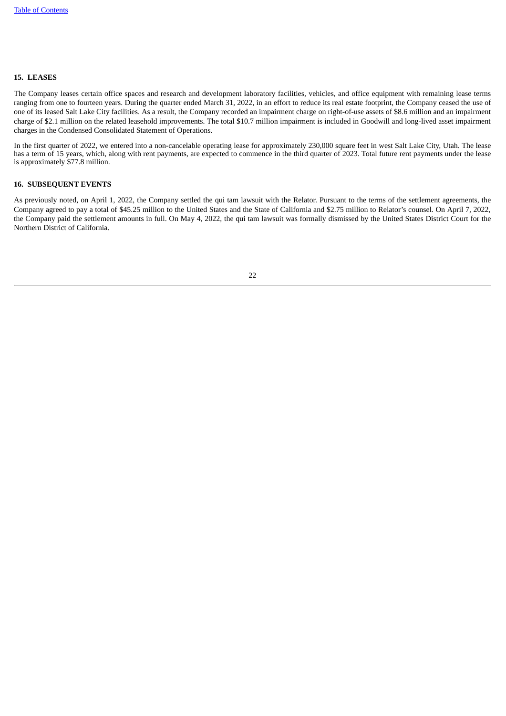### **15. LEASES**

The Company leases certain office spaces and research and development laboratory facilities, vehicles, and office equipment with remaining lease terms ranging from one to fourteen years. During the quarter ended March 31, 2022, in an effort to reduce its real estate footprint, the Company ceased the use of one of its leased Salt Lake City facilities. As a result, the Company recorded an impairment charge on right-of-use assets of \$8.6 million and an impairment charge of \$2.1 million on the related leasehold improvements. The total \$10.7 million impairment is included in Goodwill and long-lived asset impairment charges in the Condensed Consolidated Statement of Operations.

In the first quarter of 2022, we entered into a non-cancelable operating lease for approximately 230,000 square feet in west Salt Lake City, Utah. The lease has a term of 15 years, which, along with rent payments, are expected to commence in the third quarter of 2023. Total future rent payments under the lease is approximately \$77.8 million.

# **16. SUBSEQUENT EVENTS**

<span id="page-21-0"></span>As previously noted, on April 1, 2022, the Company settled the qui tam lawsuit with the Relator. Pursuant to the terms of the settlement agreements, the Company agreed to pay a total of \$45.25 million to the United States and the State of California and \$2.75 million to Relator's counsel. On April 7, 2022, the Company paid the settlement amounts in full. On May 4, 2022, the qui tam lawsuit was formally dismissed by the United States District Court for the Northern District of California.

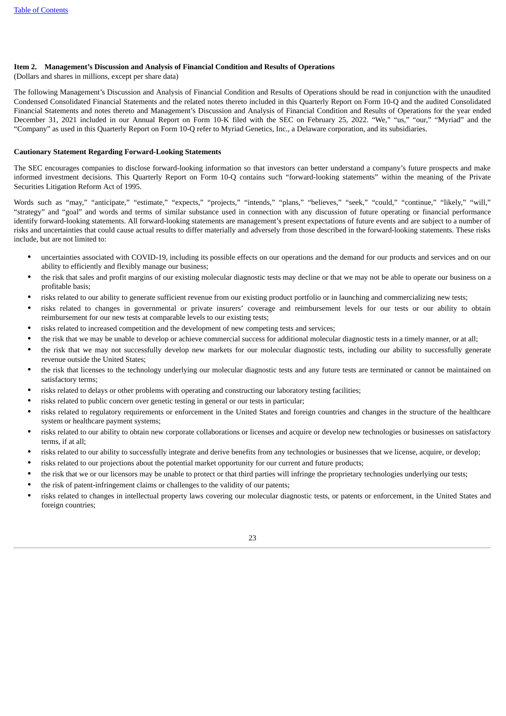# **Item 2. Management's Discussion and Analysis of Financial Condition and Results of Operations**

(Dollars and shares in millions, except per share data)

The following Management's Discussion and Analysis of Financial Condition and Results of Operations should be read in conjunction with the unaudited Condensed Consolidated Financial Statements and the related notes thereto included in this Quarterly Report on Form 10-Q and the audited Consolidated Financial Statements and notes thereto and Management's Discussion and Analysis of Financial Condition and Results of Operations for the year ended December 31, 2021 included in our Annual Report on Form 10-K filed with the SEC on February 25, 2022. "We," "us," "our," "Myriad" and the "Company" as used in this Quarterly Report on Form 10‑Q refer to Myriad Genetics, Inc., a Delaware corporation, and its subsidiaries.

# **Cautionary Statement Regarding Forward-Looking Statements**

The SEC encourages companies to disclose forward-looking information so that investors can better understand a company's future prospects and make informed investment decisions. This Quarterly Report on Form 10‑Q contains such "forward-looking statements" within the meaning of the Private Securities Litigation Reform Act of 1995.

Words such as "may," "anticipate," "estimate," "expects," "projects," "intends," "plans," "believes," "seek," "could," "continue," "likely," "will," "strategy" and "goal" and words and terms of similar substance used in connection with any discussion of future operating or financial performance identify forward-looking statements. All forward-looking statements are management's present expectations of future events and are subject to a number of risks and uncertainties that could cause actual results to differ materially and adversely from those described in the forward-looking statements. These risks include, but are not limited to:

- uncertainties associated with COVID-19, including its possible effects on our operations and the demand for our products and services and on our ability to efficiently and flexibly manage our business;
- the risk that sales and profit margins of our existing molecular diagnostic tests may decline or that we may not be able to operate our business on a profitable basis;
- risks related to our ability to generate sufficient revenue from our existing product portfolio or in launching and commercializing new tests;
- risks related to changes in governmental or private insurers' coverage and reimbursement levels for our tests or our ability to obtain reimbursement for our new tests at comparable levels to our existing tests;
- risks related to increased competition and the development of new competing tests and services;
- the risk that we may be unable to develop or achieve commercial success for additional molecular diagnostic tests in a timely manner, or at all;
- the risk that we may not successfully develop new markets for our molecular diagnostic tests, including our ability to successfully generate revenue outside the United States;
- the risk that licenses to the technology underlying our molecular diagnostic tests and any future tests are terminated or cannot be maintained on satisfactory terms;
- risks related to delays or other problems with operating and constructing our laboratory testing facilities;
- risks related to public concern over genetic testing in general or our tests in particular;
- risks related to regulatory requirements or enforcement in the United States and foreign countries and changes in the structure of the healthcare system or healthcare payment systems;
- risks related to our ability to obtain new corporate collaborations or licenses and acquire or develop new technologies or businesses on satisfactory terms, if at all;
- risks related to our ability to successfully integrate and derive benefits from any technologies or businesses that we license, acquire, or develop;
- risks related to our projections about the potential market opportunity for our current and future products;
- the risk that we or our licensors may be unable to protect or that third parties will infringe the proprietary technologies underlying our tests;
- the risk of patent-infringement claims or challenges to the validity of our patents;
- risks related to changes in intellectual property laws covering our molecular diagnostic tests, or patents or enforcement, in the United States and foreign countries;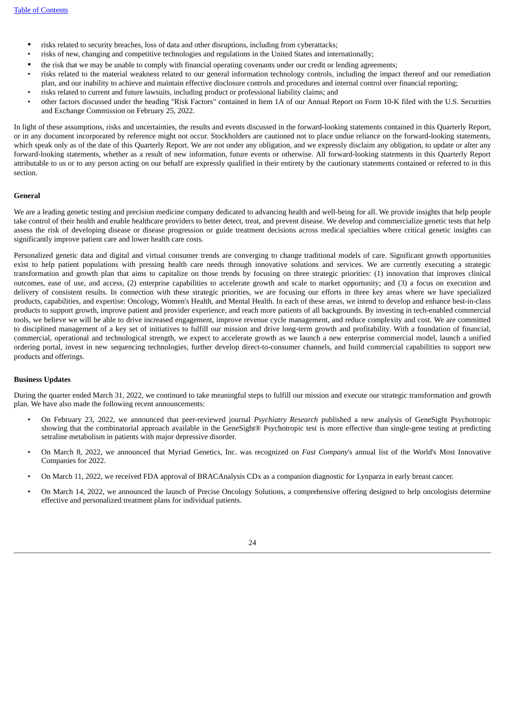- risks related to security breaches, loss of data and other disruptions, including from cyberattacks;
- risks of new, changing and competitive technologies and regulations in the United States and internationally;
- the risk that we may be unable to comply with financial operating covenants under our credit or lending agreements;
- risks related to the material weakness related to our general information technology controls, including the impact thereof and our remediation plan, and our inability to achieve and maintain effective disclosure controls and procedures and internal control over financial reporting;
- risks related to current and future lawsuits, including product or professional liability claims; and
- other factors discussed under the heading "Risk Factors" contained in Item 1A of our Annual Report on Form 10-K filed with the U.S. Securities and Exchange Commission on February 25, 2022.

In light of these assumptions, risks and uncertainties, the results and events discussed in the forward-looking statements contained in this Quarterly Report, or in any document incorporated by reference might not occur. Stockholders are cautioned not to place undue reliance on the forward-looking statements, which speak only as of the date of this Quarterly Report. We are not under any obligation, and we expressly disclaim any obligation, to update or alter any forward-looking statements, whether as a result of new information, future events or otherwise. All forward-looking statements in this Quarterly Report attributable to us or to any person acting on our behalf are expressly qualified in their entirety by the cautionary statements contained or referred to in this section.

### **General**

We are a leading genetic testing and precision medicine company dedicated to advancing health and well-being for all. We provide insights that help people take control of their health and enable healthcare providers to better detect, treat, and prevent disease. We develop and commercialize genetic tests that help assess the risk of developing disease or disease progression or guide treatment decisions across medical specialties where critical genetic insights can significantly improve patient care and lower health care costs.

Personalized genetic data and digital and virtual consumer trends are converging to change traditional models of care. Significant growth opportunities exist to help patient populations with pressing health care needs through innovative solutions and services. We are currently executing a strategic transformation and growth plan that aims to capitalize on those trends by focusing on three strategic priorities: (1) innovation that improves clinical outcomes, ease of use, and access, (2) enterprise capabilities to accelerate growth and scale to market opportunity; and (3) a focus on execution and delivery of consistent results. In connection with these strategic priorities, we are focusing our efforts in three key areas where we have specialized products, capabilities, and expertise: Oncology, Women's Health, and Mental Health. In each of these areas, we intend to develop and enhance best-in-class products to support growth, improve patient and provider experience, and reach more patients of all backgrounds. By investing in tech-enabled commercial tools, we believe we will be able to drive increased engagement, improve revenue cycle management, and reduce complexity and cost. We are committed to disciplined management of a key set of initiatives to fulfill our mission and drive long-term growth and profitability. With a foundation of financial, commercial, operational and technological strength, we expect to accelerate growth as we launch a new enterprise commercial model, launch a unified ordering portal, invest in new sequencing technologies, further develop direct-to-consumer channels, and build commercial capabilities to support new products and offerings.

# **Business Updates**

During the quarter ended March 31, 2022, we continued to take meaningful steps to fulfill our mission and execute our strategic transformation and growth plan. We have also made the following recent announcements:

- On February 23, 2022, we announced that peer-reviewed journal *Psychiatry Research* published a new analysis of GeneSight Psychotropic showing that the combinatorial approach available in the GeneSight® Psychotropic test is more effective than single-gene testing at predicting setraline metabolism in patients with major depressive disorder.
- On March 8, 2022, we announced that Myriad Genetics, Inc. was recognized on *Fast Company*'s annual list of the World's Most Innovative Companies for 2022.
- On March 11, 2022, we received FDA approval of BRACAnalysis CDx as a companion diagnostic for Lynparza in early breast cancer.
- On March 14, 2022, we announced the launch of Precise Oncology Solutions, a comprehensive offering designed to help oncologists determine effective and personalized treatment plans for individual patients.

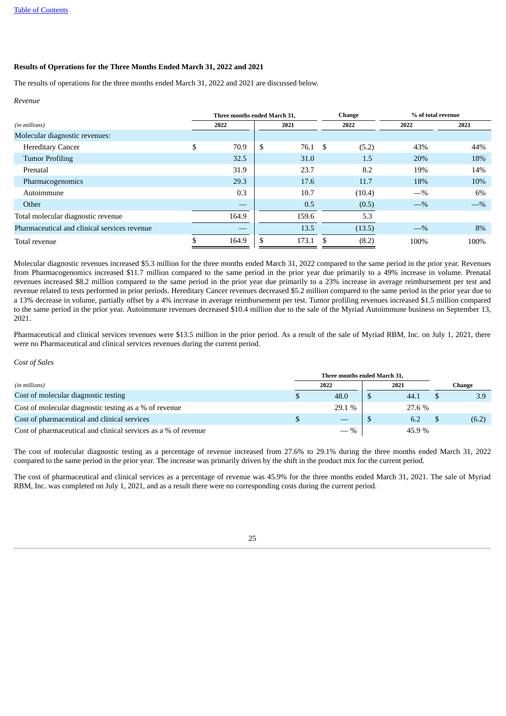# **Results of Operations for the Three Months Ended March 31, 2022 and 2021**

The results of operations for the three months ended March 31, 2022 and 2021 are discussed below.

### *Revenue*

|                                              | Three months ended March 31, |    | <b>Change</b>   |        | % of total revenue |       |
|----------------------------------------------|------------------------------|----|-----------------|--------|--------------------|-------|
| (in millions)                                | 2022                         |    | 2021            | 2022   | 2022               | 2021  |
| Molecular diagnostic revenues:               |                              |    |                 |        |                    |       |
| <b>Hereditary Cancer</b>                     | \$<br>70.9                   | \$ | 76.1 S          | (5.2)  | 43%                | 44%   |
| <b>Tumor Profiling</b>                       | 32.5                         |    | 31.0            | 1.5    | 20%                | 18%   |
| Prenatal                                     | 31.9                         |    | 23.7            | 8.2    | 19%                | 14%   |
| Pharmacogenomics                             | 29.3                         |    | 17.6            | 11.7   | 18%                | 10%   |
| Autoimmune                                   | 0.3                          |    | 10.7            | (10.4) | $-$ %              | 6%    |
| Other                                        |                              |    | 0.5             | (0.5)  | $-$ %              | $-$ % |
| Total molecular diagnostic revenue           | 164.9                        |    | 159.6           | 5.3    |                    |       |
| Pharmaceutical and clinical services revenue | _                            |    | 13.5            | (13.5) | $-$ %              | 8%    |
| Total revenue                                | \$<br>164.9                  | \$ | $173.1 \quad $$ | (8.2)  | 100%               | 100%  |

Molecular diagnostic revenues increased \$5.3 million for the three months ended March 31, 2022 compared to the same period in the prior year. Revenues from Pharmacogenomics increased \$11.7 million compared to the same period in the prior year due primarily to a 49% increase in volume. Prenatal revenues increased \$8.2 million compared to the same period in the prior year due primarily to a 23% increase in average reimbursement per test and revenue related to tests performed in prior periods. Hereditary Cancer revenues decreased \$5.2 million compared to the same period in the prior year due to a 13% decrease in volume, partially offset by a 4% increase in average reimbursement per test. Tumor profiling revenues increased \$1.5 million compared to the same period in the prior year. Autoimmune revenues decreased \$10.4 million due to the sale of the Myriad Autoimmune business on September 13, 2021.

Pharmaceutical and clinical services revenues were \$13.5 million in the prior period. As a result of the sale of Myriad RBM, Inc. on July 1, 2021, there were no Pharmaceutical and clinical services revenues during the current period.

#### *Cost of Sales*

|                                                                | Three months ended March 31. |        |  |        |  |        |
|----------------------------------------------------------------|------------------------------|--------|--|--------|--|--------|
| (in millions)                                                  |                              | 2022   |  | 2021   |  | Change |
| Cost of molecular diagnostic testing                           |                              | 48.0   |  | 44.1   |  | 3.9    |
| Cost of molecular diagnostic testing as a % of revenue         |                              | 29.1 % |  | 27.6 % |  |        |
| Cost of pharmaceutical and clinical services                   |                              |        |  | 6.2    |  | (6.2)  |
| Cost of pharmaceutical and clinical services as a % of revenue |                              | $-$ %  |  | 45.9%  |  |        |

The cost of molecular diagnostic testing as a percentage of revenue increased from 27.6% to 29.1% during the three months ended March 31, 2022 compared to the same period in the prior year. The increase was primarily driven by the shift in the product mix for the current period.

The cost of pharmaceutical and clinical services as a percentage of revenue was 45.9% for the three months ended March 31, 2021. The sale of Myriad RBM, Inc. was completed on July 1, 2021, and as a result there were no corresponding costs during the current period.

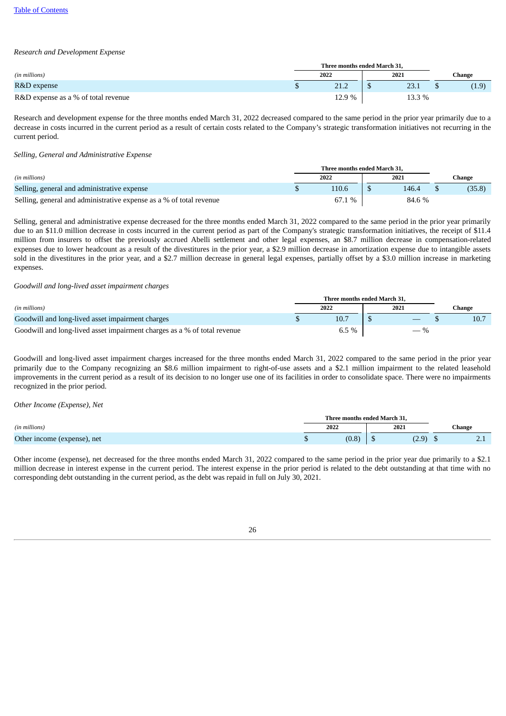# *Research and Development Expense*

|                                     |      | Three months ended March 31. |  |          |       |  |        |
|-------------------------------------|------|------------------------------|--|----------|-------|--|--------|
| (in millions)                       | 2022 |                              |  |          | 2021  |  | Change |
| R&D expense                         |      | 21.2                         |  | 23.1     | (1.9) |  |        |
| R&D expense as a % of total revenue |      | 12.9 %                       |  | $13.3\%$ |       |  |        |

Research and development expense for the three months ended March 31, 2022 decreased compared to the same period in the prior year primarily due to a decrease in costs incurred in the current period as a result of certain costs related to the Company's strategic transformation initiatives not recurring in the current period.

# *Selling, General and Administrative Expense*

|                                                                     | Three months ended March 31. |        |        |
|---------------------------------------------------------------------|------------------------------|--------|--------|
| (in millions)                                                       | 2022                         | 2021   | Change |
| Selling, general and administrative expense                         | 110.6                        | 146.4  | (35.8) |
| Selling, general and administrative expense as a % of total revenue | 67.1 %                       | 84.6 % |        |

Selling, general and administrative expense decreased for the three months ended March 31, 2022 compared to the same period in the prior year primarily due to an \$11.0 million decrease in costs incurred in the current period as part of the Company's strategic transformation initiatives, the receipt of \$11.4 million from insurers to offset the previously accrued Abelli settlement and other legal expenses, an \$8.7 million decrease in compensation-related expenses due to lower headcount as a result of the divestitures in the prior year, a \$2.9 million decrease in amortization expense due to intangible assets sold in the divestitures in the prior year, and a \$2.7 million decrease in general legal expenses, partially offset by a \$3.0 million increase in marketing expenses.

# *Goodwill and long-lived asset impairment charges*

|                                                                          | Three months ended March 31. |         |  |       |  |        |
|--------------------------------------------------------------------------|------------------------------|---------|--|-------|--|--------|
| (in millions)                                                            | 2022                         |         |  | 2021  |  | Change |
| Goodwill and long-lived asset impairment charges                         |                              | 10.7    |  |       |  | 10.7   |
| Goodwill and long-lived asset impairment charges as a % of total revenue |                              | 6.5 $%$ |  | $-$ % |  |        |

Goodwill and long-lived asset impairment charges increased for the three months ended March 31, 2022 compared to the same period in the prior year primarily due to the Company recognizing an \$8.6 million impairment to right-of-use assets and a \$2.1 million impairment to the related leasehold improvements in the current period as a result of its decision to no longer use one of its facilities in order to consolidate space. There were no impairments recognized in the prior period.

# *Other Income (Expense), Net*

|                             | Three months ended March 31, |       |      |       |  |        |
|-----------------------------|------------------------------|-------|------|-------|--|--------|
| (in millions)               |                              | 2022  | 2021 |       |  | Change |
| Other income (expense), net |                              | (0.8) |      | (2.9) |  | .      |

Other income (expense), net decreased for the three months ended March 31, 2022 compared to the same period in the prior year due primarily to a \$2.1 million decrease in interest expense in the current period. The interest expense in the prior period is related to the debt outstanding at that time with no corresponding debt outstanding in the current period, as the debt was repaid in full on July 30, 2021.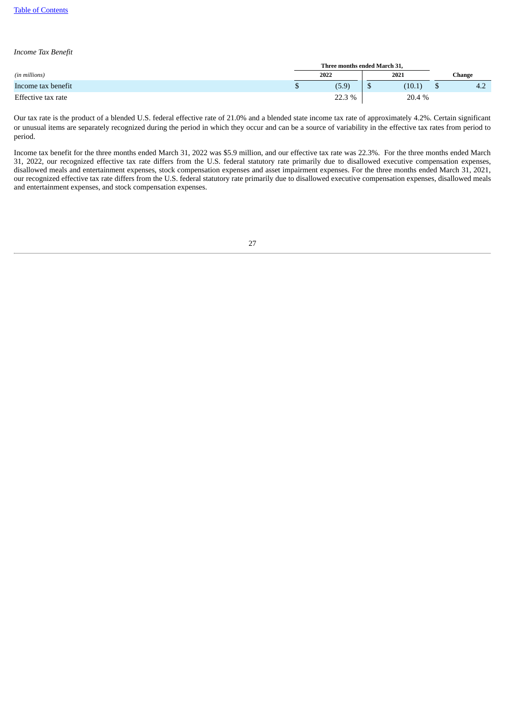### *Income Tax Benefit*

|                    | Three months ended March 31, |        |      |        |  |            |  |  |
|--------------------|------------------------------|--------|------|--------|--|------------|--|--|
| (in millions)      |                              | 2022   | 2021 |        |  | Change     |  |  |
| Income tax benefit |                              | (5.9)  | Ψ    | (10.1) |  | ר ו<br>4.4 |  |  |
| Effective tax rate |                              | 22.3 % |      | 20.4 % |  |            |  |  |

Our tax rate is the product of a blended U.S. federal effective rate of 21.0% and a blended state income tax rate of approximately 4.2%. Certain significant or unusual items are separately recognized during the period in which they occur and can be a source of variability in the effective tax rates from period to period.

Income tax benefit for the three months ended March 31, 2022 was \$5.9 million, and our effective tax rate was 22.3%. For the three months ended March 31, 2022, our recognized effective tax rate differs from the U.S. federal statutory rate primarily due to disallowed executive compensation expenses, disallowed meals and entertainment expenses, stock compensation expenses and asset impairment expenses. For the three months ended March 31, 2021, our recognized effective tax rate differs from the U.S. federal statutory rate primarily due to disallowed executive compensation expenses, disallowed meals and entertainment expenses, and stock compensation expenses.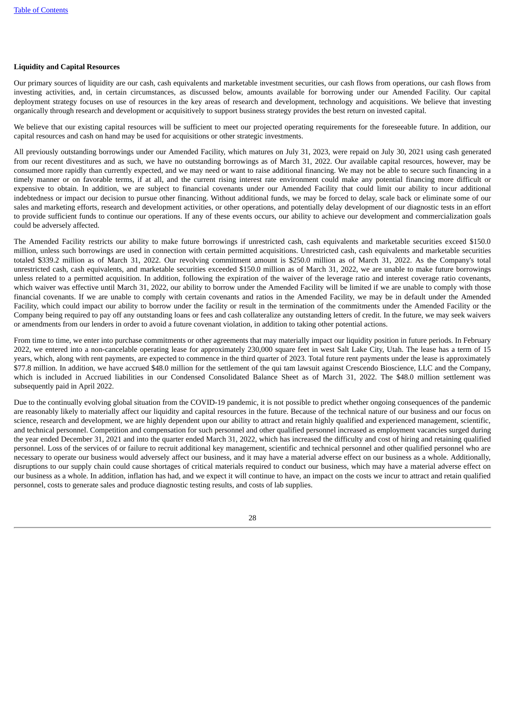### **Liquidity and Capital Resources**

Our primary sources of liquidity are our cash, cash equivalents and marketable investment securities, our cash flows from operations, our cash flows from investing activities, and, in certain circumstances, as discussed below, amounts available for borrowing under our Amended Facility. Our capital deployment strategy focuses on use of resources in the key areas of research and development, technology and acquisitions. We believe that investing organically through research and development or acquisitively to support business strategy provides the best return on invested capital.

We believe that our existing capital resources will be sufficient to meet our projected operating requirements for the foreseeable future. In addition, our capital resources and cash on hand may be used for acquisitions or other strategic investments.

All previously outstanding borrowings under our Amended Facility, which matures on July 31, 2023, were repaid on July 30, 2021 using cash generated from our recent divestitures and as such, we have no outstanding borrowings as of March 31, 2022. Our available capital resources, however, may be consumed more rapidly than currently expected, and we may need or want to raise additional financing. We may not be able to secure such financing in a timely manner or on favorable terms, if at all, and the current rising interest rate environment could make any potential financing more difficult or expensive to obtain. In addition, we are subject to financial covenants under our Amended Facility that could limit our ability to incur additional indebtedness or impact our decision to pursue other financing. Without additional funds, we may be forced to delay, scale back or eliminate some of our sales and marketing efforts, research and development activities, or other operations, and potentially delay development of our diagnostic tests in an effort to provide sufficient funds to continue our operations. If any of these events occurs, our ability to achieve our development and commercialization goals could be adversely affected.

The Amended Facility restricts our ability to make future borrowings if unrestricted cash, cash equivalents and marketable securities exceed \$150.0 million, unless such borrowings are used in connection with certain permitted acquisitions. Unrestricted cash, cash equivalents and marketable securities totaled \$339.2 million as of March 31, 2022. Our revolving commitment amount is \$250.0 million as of March 31, 2022. As the Company's total unrestricted cash, cash equivalents, and marketable securities exceeded \$150.0 million as of March 31, 2022, we are unable to make future borrowings unless related to a permitted acquisition. In addition, following the expiration of the waiver of the leverage ratio and interest coverage ratio covenants, which waiver was effective until March 31, 2022, our ability to borrow under the Amended Facility will be limited if we are unable to comply with those financial covenants. If we are unable to comply with certain covenants and ratios in the Amended Facility, we may be in default under the Amended Facility, which could impact our ability to borrow under the facility or result in the termination of the commitments under the Amended Facility or the Company being required to pay off any outstanding loans or fees and cash collateralize any outstanding letters of credit. In the future, we may seek waivers or amendments from our lenders in order to avoid a future covenant violation, in addition to taking other potential actions.

From time to time, we enter into purchase commitments or other agreements that may materially impact our liquidity position in future periods. In February 2022, we entered into a non-cancelable operating lease for approximately 230,000 square feet in west Salt Lake City, Utah. The lease has a term of 15 years, which, along with rent payments, are expected to commence in the third quarter of 2023. Total future rent payments under the lease is approximately \$77.8 million. In addition, we have accrued \$48.0 million for the settlement of the qui tam lawsuit against Crescendo Bioscience, LLC and the Company, which is included in Accrued liabilities in our Condensed Consolidated Balance Sheet as of March 31, 2022. The \$48.0 million settlement was subsequently paid in April 2022.

Due to the continually evolving global situation from the COVID-19 pandemic, it is not possible to predict whether ongoing consequences of the pandemic are reasonably likely to materially affect our liquidity and capital resources in the future. Because of the technical nature of our business and our focus on science, research and development, we are highly dependent upon our ability to attract and retain highly qualified and experienced management, scientific, and technical personnel. Competition and compensation for such personnel and other qualified personnel increased as employment vacancies surged during the year ended December 31, 2021 and into the quarter ended March 31, 2022, which has increased the difficulty and cost of hiring and retaining qualified personnel. Loss of the services of or failure to recruit additional key management, scientific and technical personnel and other qualified personnel who are necessary to operate our business would adversely affect our business, and it may have a material adverse effect on our business as a whole. Additionally, disruptions to our supply chain could cause shortages of critical materials required to conduct our business, which may have a material adverse effect on our business as a whole. In addition, inflation has had, and we expect it will continue to have, an impact on the costs we incur to attract and retain qualified personnel, costs to generate sales and produce diagnostic testing results, and costs of lab supplies.

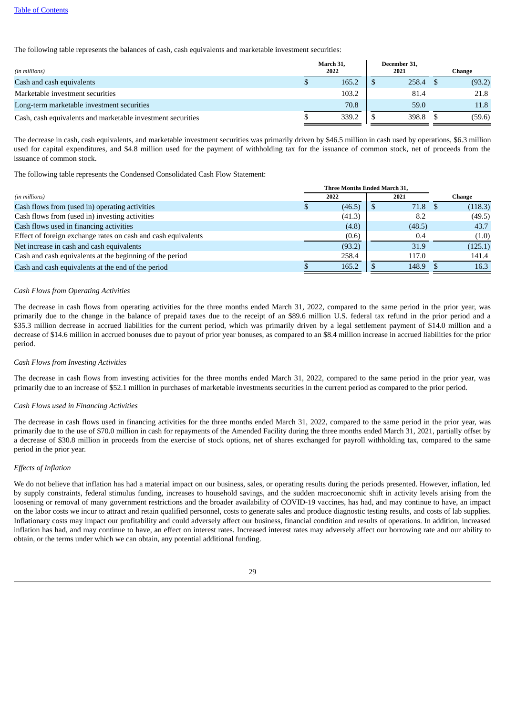The following table represents the balances of cash, cash equivalents and marketable investment securities:

| (in millions)                                               | March 31,<br>2022 | December 31,<br>2021 |       | Change |        |
|-------------------------------------------------------------|-------------------|----------------------|-------|--------|--------|
| Cash and cash equivalents                                   | 165.2             |                      | 258.4 |        | (93.2) |
| Marketable investment securities                            | 103.2             |                      | 81.4  |        | 21.8   |
| Long-term marketable investment securities                  | 70.8              |                      | 59.0  |        | 11.8   |
| Cash, cash equivalents and marketable investment securities | 339.2             |                      | 398.8 |        | (59.6) |

The decrease in cash, cash equivalents, and marketable investment securities was primarily driven by \$46.5 million in cash used by operations, \$6.3 million used for capital expenditures, and \$4.8 million used for the payment of withholding tax for the issuance of common stock, net of proceeds from the issuance of common stock.

The following table represents the Condensed Consolidated Cash Flow Statement:

|                                                               | Three Months Ended March 31, |        |      |        |        |         |
|---------------------------------------------------------------|------------------------------|--------|------|--------|--------|---------|
| (in millions)                                                 |                              | 2022   | 2021 |        | Change |         |
| Cash flows from (used in) operating activities                |                              | (46.5) | S,   | 71.8   |        | (118.3) |
| Cash flows from (used in) investing activities                |                              | (41.3) |      | 8.2    |        | (49.5)  |
| Cash flows used in financing activities                       |                              | (4.8)  |      | (48.5) |        | 43.7    |
| Effect of foreign exchange rates on cash and cash equivalents |                              | (0.6)  |      | 0.4    |        | (1.0)   |
| Net increase in cash and cash equivalents                     |                              | (93.2) |      | 31.9   |        | (125.1) |
| Cash and cash equivalents at the beginning of the period      |                              | 258.4  |      | 117.0  |        | 141.4   |
| Cash and cash equivalents at the end of the period            |                              | 165.2  |      | 148.9  |        | 16.3    |

### *Cash Flows from Operating Activities*

The decrease in cash flows from operating activities for the three months ended March 31, 2022, compared to the same period in the prior year, was primarily due to the change in the balance of prepaid taxes due to the receipt of an \$89.6 million U.S. federal tax refund in the prior period and a \$35.3 million decrease in accrued liabilities for the current period, which was primarily driven by a legal settlement payment of \$14.0 million and a decrease of \$14.6 million in accrued bonuses due to payout of prior year bonuses, as compared to an \$8.4 million increase in accrued liabilities for the prior period.

#### *Cash Flows from Investing Activities*

The decrease in cash flows from investing activities for the three months ended March 31, 2022, compared to the same period in the prior year, was primarily due to an increase of \$52.1 million in purchases of marketable investments securities in the current period as compared to the prior period.

### *Cash Flows used in Financing Activities*

The decrease in cash flows used in financing activities for the three months ended March 31, 2022, compared to the same period in the prior year, was primarily due to the use of \$70.0 million in cash for repayments of the Amended Facility during the three months ended March 31, 2021, partially offset by a decrease of \$30.8 million in proceeds from the exercise of stock options, net of shares exchanged for payroll withholding tax, compared to the same period in the prior year.

# *Effects of Inflation*

We do not believe that inflation has had a material impact on our business, sales, or operating results during the periods presented. However, inflation, led by supply constraints, federal stimulus funding, increases to household savings, and the sudden macroeconomic shift in activity levels arising from the loosening or removal of many government restrictions and the broader availability of COVID-19 vaccines, has had, and may continue to have, an impact on the labor costs we incur to attract and retain qualified personnel, costs to generate sales and produce diagnostic testing results, and costs of lab supplies. Inflationary costs may impact our profitability and could adversely affect our business, financial condition and results of operations. In addition, increased inflation has had, and may continue to have, an effect on interest rates. Increased interest rates may adversely affect our borrowing rate and our ability to obtain, or the terms under which we can obtain, any potential additional funding.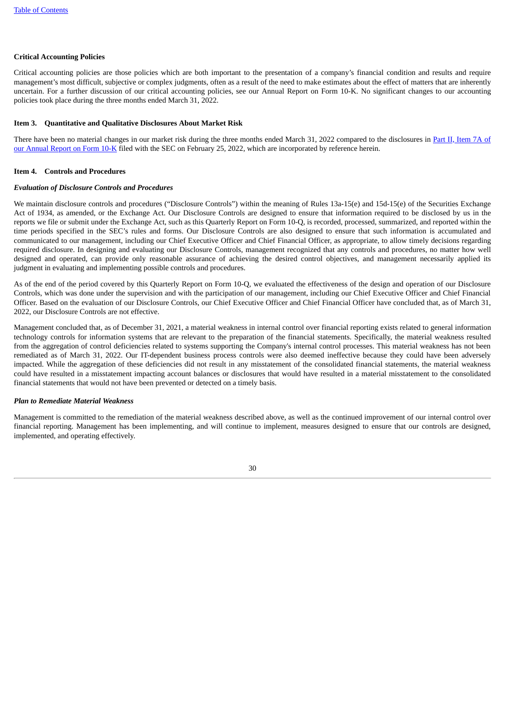# **Critical Accounting Policies**

Critical accounting policies are those policies which are both important to the presentation of a company's financial condition and results and require management's most difficult, subjective or complex judgments, often as a result of the need to make estimates about the effect of matters that are inherently uncertain. For a further discussion of our critical accounting policies, see our Annual Report on Form 10-K. No significant changes to our accounting policies took place during the three months ended March 31, 2022.

# <span id="page-29-0"></span>**Item 3. Quantitative and Qualitative Disclosures About Market Risk**

There have been no material changes in our market risk during the three months ended March 31, 2022 compared to the disclosures in Part II, Item 7A of our Annual Report on Form 10-K filed with the SEC on February 25, 2022, which are [incorporated](https://www.sec.gov/ix?doc=/Archives/edgar/data/899923/000089992322000033/mygn-20211231.htm#ifead9d28cda549c1af769d1d50d95807_64) by reference herein.

### <span id="page-29-1"></span>**Item 4. Controls and Procedures**

### *Evaluation of Disclosure Controls and Procedures*

We maintain disclosure controls and procedures ("Disclosure Controls") within the meaning of Rules 13a-15(e) and 15d-15(e) of the Securities Exchange Act of 1934, as amended, or the Exchange Act. Our Disclosure Controls are designed to ensure that information required to be disclosed by us in the reports we file or submit under the Exchange Act, such as this Quarterly Report on Form 10-Q, is recorded, processed, summarized, and reported within the time periods specified in the SEC's rules and forms. Our Disclosure Controls are also designed to ensure that such information is accumulated and communicated to our management, including our Chief Executive Officer and Chief Financial Officer, as appropriate, to allow timely decisions regarding required disclosure. In designing and evaluating our Disclosure Controls, management recognized that any controls and procedures, no matter how well designed and operated, can provide only reasonable assurance of achieving the desired control objectives, and management necessarily applied its judgment in evaluating and implementing possible controls and procedures.

As of the end of the period covered by this Quarterly Report on Form 10-Q, we evaluated the effectiveness of the design and operation of our Disclosure Controls, which was done under the supervision and with the participation of our management, including our Chief Executive Officer and Chief Financial Officer. Based on the evaluation of our Disclosure Controls, our Chief Executive Officer and Chief Financial Officer have concluded that, as of March 31, 2022, our Disclosure Controls are not effective.

Management concluded that, as of December 31, 2021, a material weakness in internal control over financial reporting exists related to general information technology controls for information systems that are relevant to the preparation of the financial statements. Specifically, the material weakness resulted from the aggregation of control deficiencies related to systems supporting the Company's internal control processes. This material weakness has not been remediated as of March 31, 2022. Our IT-dependent business process controls were also deemed ineffective because they could have been adversely impacted. While the aggregation of these deficiencies did not result in any misstatement of the consolidated financial statements, the material weakness could have resulted in a misstatement impacting account balances or disclosures that would have resulted in a material misstatement to the consolidated financial statements that would not have been prevented or detected on a timely basis.

# *Plan to Remediate Material Weakness*

Management is committed to the remediation of the material weakness described above, as well as the continued improvement of our internal control over financial reporting. Management has been implementing, and will continue to implement, measures designed to ensure that our controls are designed, implemented, and operating effectively.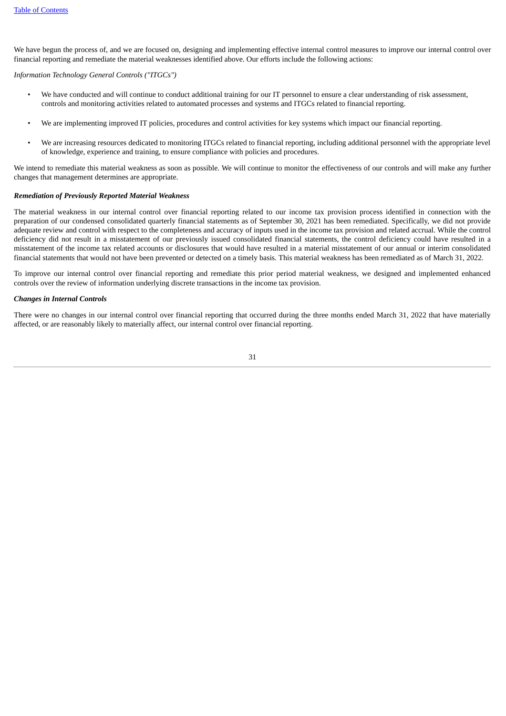We have begun the process of, and we are focused on, designing and implementing effective internal control measures to improve our internal control over financial reporting and remediate the material weaknesses identified above. Our efforts include the following actions:

*Information Technology General Controls ("ITGCs")*

- We have conducted and will continue to conduct additional training for our IT personnel to ensure a clear understanding of risk assessment, controls and monitoring activities related to automated processes and systems and ITGCs related to financial reporting.
- We are implementing improved IT policies, procedures and control activities for key systems which impact our financial reporting.
- We are increasing resources dedicated to monitoring ITGCs related to financial reporting, including additional personnel with the appropriate level of knowledge, experience and training, to ensure compliance with policies and procedures.

We intend to remediate this material weakness as soon as possible. We will continue to monitor the effectiveness of our controls and will make any further changes that management determines are appropriate.

### *Remediation of Previously Reported Material Weakness*

The material weakness in our internal control over financial reporting related to our income tax provision process identified in connection with the preparation of our condensed consolidated quarterly financial statements as of September 30, 2021 has been remediated. Specifically, we did not provide adequate review and control with respect to the completeness and accuracy of inputs used in the income tax provision and related accrual. While the control deficiency did not result in a misstatement of our previously issued consolidated financial statements, the control deficiency could have resulted in a misstatement of the income tax related accounts or disclosures that would have resulted in a material misstatement of our annual or interim consolidated financial statements that would not have been prevented or detected on a timely basis. This material weakness has been remediated as of March 31, 2022.

To improve our internal control over financial reporting and remediate this prior period material weakness, we designed and implemented enhanced controls over the review of information underlying discrete transactions in the income tax provision.

#### *Changes in Internal Controls*

<span id="page-30-0"></span>There were no changes in our internal control over financial reporting that occurred during the three months ended March 31, 2022 that have materially affected, or are reasonably likely to materially affect, our internal control over financial reporting.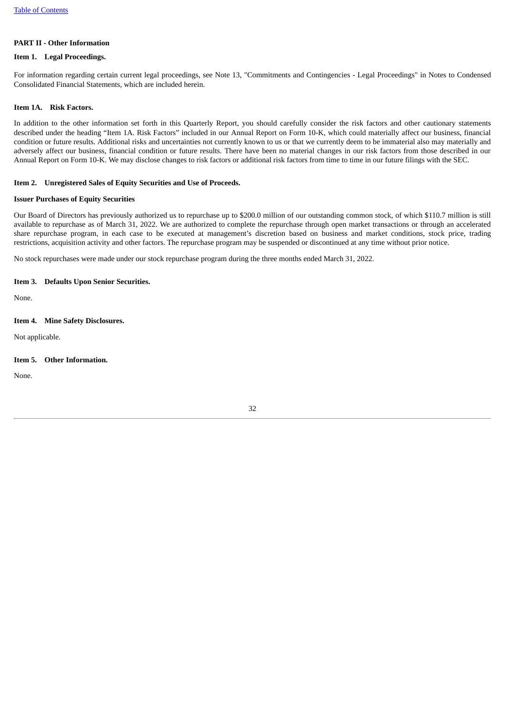# **PART II - Other Information**

### <span id="page-31-0"></span>**Item 1. Legal Proceedings.**

For information regarding certain current legal proceedings, see Note 13, "Commitments and Contingencies - Legal Proceedings" in Notes to Condensed Consolidated Financial Statements, which are included herein.

### <span id="page-31-1"></span>**Item 1A. Risk Factors.**

In addition to the other information set forth in this Quarterly Report, you should carefully consider the risk factors and other cautionary statements described under the heading "Item 1A. Risk Factors" included in our Annual Report on Form 10-K, which could materially affect our business, financial condition or future results. Additional risks and uncertainties not currently known to us or that we currently deem to be immaterial also may materially and adversely affect our business, financial condition or future results. There have been no material changes in our risk factors from those described in our Annual Report on Form 10-K. We may disclose changes to risk factors or additional risk factors from time to time in our future filings with the SEC.

### <span id="page-31-2"></span>**Item 2. Unregistered Sales of Equity Securities and Use of Proceeds.**

### **Issuer Purchases of Equity Securities**

Our Board of Directors has previously authorized us to repurchase up to \$200.0 million of our outstanding common stock, of which \$110.7 million is still available to repurchase as of March 31, 2022. We are authorized to complete the repurchase through open market transactions or through an accelerated share repurchase program, in each case to be executed at management's discretion based on business and market conditions, stock price, trading restrictions, acquisition activity and other factors. The repurchase program may be suspended or discontinued at any time without prior notice.

<span id="page-31-3"></span>No stock repurchases were made under our stock repurchase program during the three months ended March 31, 2022.

### **Item 3. Defaults Upon Senior Securities.**

<span id="page-31-4"></span>None.

### **Item 4. Mine Safety Disclosures.**

<span id="page-31-5"></span>Not applicable.

### **Item 5. Other Information.**

<span id="page-31-6"></span>None.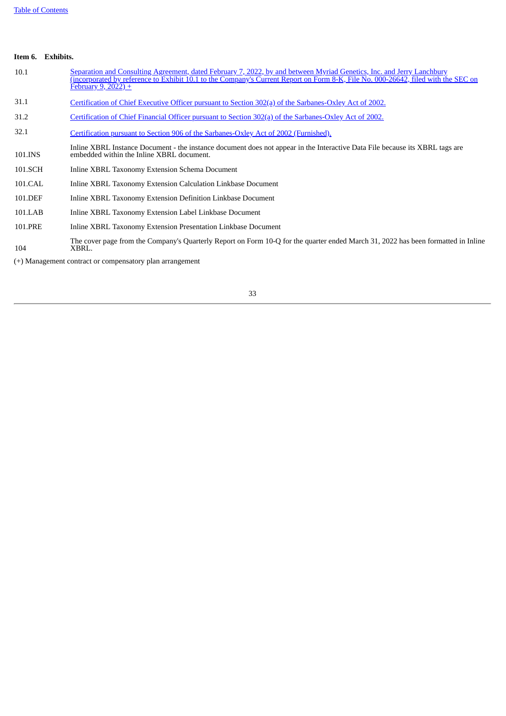### **Item 6. Exhibits.**

| 10.1 | <u>Separation and Consulting Agreement, dated February 7, 2022, by and between Myriad Genetics, Inc. and Jerry Lanchbury</u><br>(incorporated by reference to Exhibit 10.1 to the Company's Current Report on Form 8-K, File No. 000-26642, filed with the SEC on |
|------|-------------------------------------------------------------------------------------------------------------------------------------------------------------------------------------------------------------------------------------------------------------------|
|      | February 9, 2022) +                                                                                                                                                                                                                                               |

- 31.1 Certification of Chief Executive Officer pursuant to Section 302(a) of the [Sarbanes-Oxley](#page-34-0) Act of 2002.
- 31.2 Certification of Chief Financial Officer pursuant to Section 302(a) of the [Sarbanes-Oxley](#page-35-0) Act of 2002.
- 32.1 Certification pursuant to Section 906 of the [Sarbanes-Oxley](#page-36-0) Act of 2002 (Furnished).
- 101.INS Inline XBRL Instance Document - the instance document does not appear in the Interactive Data File because its XBRL tags are embedded within the Inline XBRL document.
- 101.SCH Inline XBRL Taxonomy Extension Schema Document
- 101.CAL Inline XBRL Taxonomy Extension Calculation Linkbase Document
- 101.DEF Inline XBRL Taxonomy Extension Definition Linkbase Document
- 101.LAB Inline XBRL Taxonomy Extension Label Linkbase Document
- 101.PRE Inline XBRL Taxonomy Extension Presentation Linkbase Document
- 104 The cover page from the Company's Quarterly Report on Form 10-Q for the quarter ended March 31, 2022 has been formatted in Inline XBRL.

<span id="page-32-0"></span>(+) Management contract or compensatory plan arrangement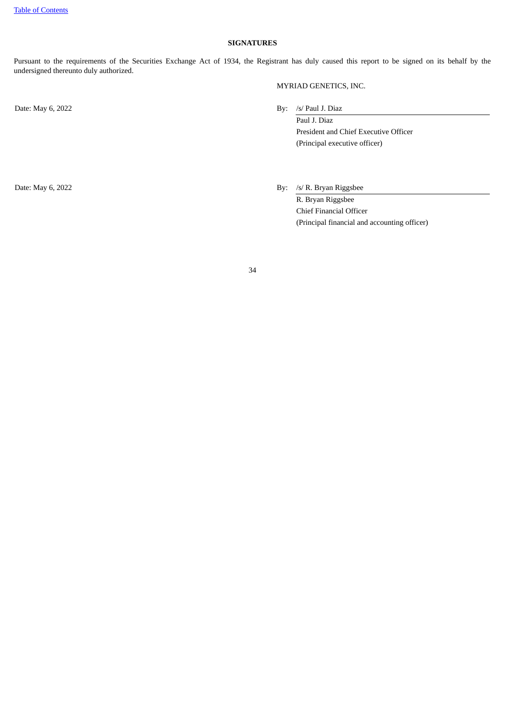# **SIGNATURES**

Pursuant to the requirements of the Securities Exchange Act of 1934, the Registrant has duly caused this report to be signed on its behalf by the undersigned thereunto duly authorized.

MYRIAD GENETICS, INC.

Date: May 6, 2022 By: /s/ Paul J. Diaz

Paul J. Diaz President and Chief Executive Officer (Principal executive officer)

Date: May 6, 2022 By: /s/ R. Bryan Riggsbee

R. Bryan Riggsbee Chief Financial Officer (Principal financial and accounting officer)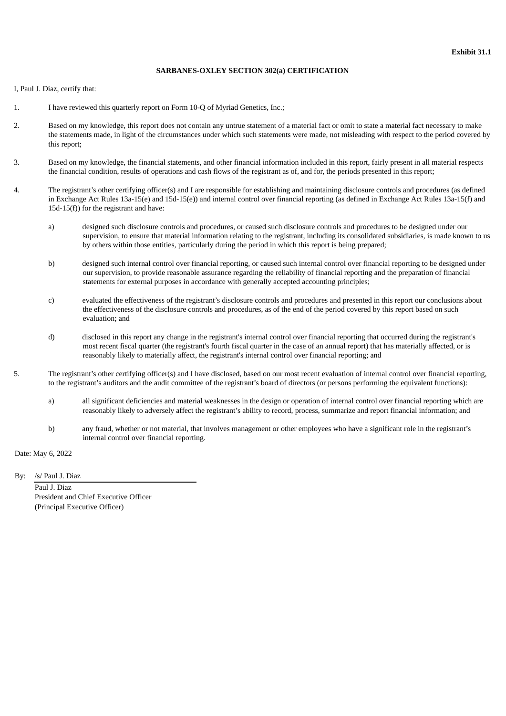# **SARBANES-OXLEY SECTION 302(a) CERTIFICATION**

<span id="page-34-0"></span>I, Paul J. Diaz, certify that:

- 1. I have reviewed this quarterly report on Form 10-Q of Myriad Genetics, Inc.;
- 2. Based on my knowledge, this report does not contain any untrue statement of a material fact or omit to state a material fact necessary to make the statements made, in light of the circumstances under which such statements were made, not misleading with respect to the period covered by this report;
- 3. Based on my knowledge, the financial statements, and other financial information included in this report, fairly present in all material respects the financial condition, results of operations and cash flows of the registrant as of, and for, the periods presented in this report;
- 4. The registrant's other certifying officer(s) and I are responsible for establishing and maintaining disclosure controls and procedures (as defined in Exchange Act Rules 13a-15(e) and 15d-15(e)) and internal control over financial reporting (as defined in Exchange Act Rules 13a-15(f) and 15d-15(f)) for the registrant and have:
	- a) designed such disclosure controls and procedures, or caused such disclosure controls and procedures to be designed under our supervision, to ensure that material information relating to the registrant, including its consolidated subsidiaries, is made known to us by others within those entities, particularly during the period in which this report is being prepared;
	- b) designed such internal control over financial reporting, or caused such internal control over financial reporting to be designed under our supervision, to provide reasonable assurance regarding the reliability of financial reporting and the preparation of financial statements for external purposes in accordance with generally accepted accounting principles;
	- c) evaluated the effectiveness of the registrant's disclosure controls and procedures and presented in this report our conclusions about the effectiveness of the disclosure controls and procedures, as of the end of the period covered by this report based on such evaluation; and
	- d) disclosed in this report any change in the registrant's internal control over financial reporting that occurred during the registrant's most recent fiscal quarter (the registrant's fourth fiscal quarter in the case of an annual report) that has materially affected, or is reasonably likely to materially affect, the registrant's internal control over financial reporting; and
- 5. The registrant's other certifying officer(s) and I have disclosed, based on our most recent evaluation of internal control over financial reporting, to the registrant's auditors and the audit committee of the registrant's board of directors (or persons performing the equivalent functions):
	- a) all significant deficiencies and material weaknesses in the design or operation of internal control over financial reporting which are reasonably likely to adversely affect the registrant's ability to record, process, summarize and report financial information; and
	- b) any fraud, whether or not material, that involves management or other employees who have a significant role in the registrant's internal control over financial reporting.

Date: May 6, 2022

By: /s/ Paul J. Diaz

Paul J. Diaz President and Chief Executive Officer (Principal Executive Officer)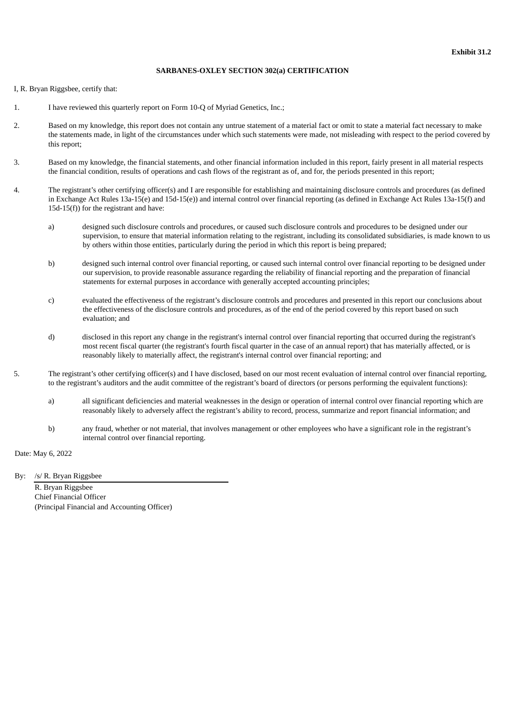# **SARBANES-OXLEY SECTION 302(a) CERTIFICATION**

<span id="page-35-0"></span>I, R. Bryan Riggsbee, certify that:

- 1. I have reviewed this quarterly report on Form 10-Q of Myriad Genetics, Inc.;
- 2. Based on my knowledge, this report does not contain any untrue statement of a material fact or omit to state a material fact necessary to make the statements made, in light of the circumstances under which such statements were made, not misleading with respect to the period covered by this report;
- 3. Based on my knowledge, the financial statements, and other financial information included in this report, fairly present in all material respects the financial condition, results of operations and cash flows of the registrant as of, and for, the periods presented in this report;
- 4. The registrant's other certifying officer(s) and I are responsible for establishing and maintaining disclosure controls and procedures (as defined in Exchange Act Rules 13a-15(e) and 15d-15(e)) and internal control over financial reporting (as defined in Exchange Act Rules 13a-15(f) and 15d-15(f)) for the registrant and have:
	- a) designed such disclosure controls and procedures, or caused such disclosure controls and procedures to be designed under our supervision, to ensure that material information relating to the registrant, including its consolidated subsidiaries, is made known to us by others within those entities, particularly during the period in which this report is being prepared;
	- b) designed such internal control over financial reporting, or caused such internal control over financial reporting to be designed under our supervision, to provide reasonable assurance regarding the reliability of financial reporting and the preparation of financial statements for external purposes in accordance with generally accepted accounting principles;
	- c) evaluated the effectiveness of the registrant's disclosure controls and procedures and presented in this report our conclusions about the effectiveness of the disclosure controls and procedures, as of the end of the period covered by this report based on such evaluation; and
	- d) disclosed in this report any change in the registrant's internal control over financial reporting that occurred during the registrant's most recent fiscal quarter (the registrant's fourth fiscal quarter in the case of an annual report) that has materially affected, or is reasonably likely to materially affect, the registrant's internal control over financial reporting; and
- 5. The registrant's other certifying officer(s) and I have disclosed, based on our most recent evaluation of internal control over financial reporting, to the registrant's auditors and the audit committee of the registrant's board of directors (or persons performing the equivalent functions):
	- a) all significant deficiencies and material weaknesses in the design or operation of internal control over financial reporting which are reasonably likely to adversely affect the registrant's ability to record, process, summarize and report financial information; and
	- b) any fraud, whether or not material, that involves management or other employees who have a significant role in the registrant's internal control over financial reporting.

Date: May 6, 2022

By: /s/ R. Bryan Riggsbee

R. Bryan Riggsbee Chief Financial Officer (Principal Financial and Accounting Officer)